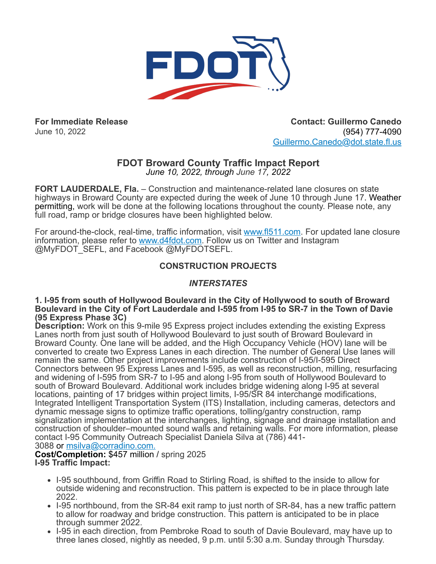

**For Immediate Release** June 10, 2022

**Contact: Guillermo Canedo** (954) 777-4090 [Guillermo.Canedo@dot.state.fl.us](mailto:Guillermo.Canedo@dot.state.fl.us)

# **FDOT Broward County Traffic Impact Report**

*June 10, 2022, through June 17, 2022*

**FORT LAUDERDALE, Fla.** – Construction and maintenance-related lane closures on state highways in Broward County are expected during the week of June 10 through June 17. Weather permitting, work will be done at the following locations throughout the county. Please note, any full road, ramp or bridge closures have been highlighted below.

For around-the-clock, real-time, traffic information, visit [www.fl511.com](https://r20.rs6.net/tn.jsp?f=001bfD7zu9LpUr_Yn-zFyF1rIFPwB7lqnA9RfkCvcuqAFoNuNgFy-anWw4MABrMy-7SOgXwlldOyAzyT4uP8-wJiLjIPG1E0e8zAuseg3ZgJPHWZzyTXpUrGsL-PN8K8DDLNIuAtcw4M2k=&c=QgcsTQUDFxM7LlyCN2SuwRU6kJlRi991osgY--DlX4-lFUaE8XUGKA==&ch=OQBg82dIizptpMCPIKzHvsYmbVKpANIBNFNm16CSxLO3l6fLjuOQFA==). For updated lane closure information, please refer to [www.d4fdot.com](https://r20.rs6.net/tn.jsp?f=001bfD7zu9LpUr_Yn-zFyF1rIFPwB7lqnA9RfkCvcuqAFoNuNgFy-anW9v1O1DCEYPXfudnBzjPIr9xgDWB4mjQH1VKFVVaXx1VTVcrTCTJQw8Fro8sfhCjSul1AMO09GDxK3tPONJnodMz4WiaF37II6Hrq1TwpCuVqUMFbMfHUEcmqPGcOtDkiWojPbfZ6lo36FnfSC55R829MUQEWWTNWcSydkvuvjhKhhSTeuS-AEitnJjzgaMJiOn0SVxmGTlmF6Mte3SPBTFt2SAhFkDCycNSQr-pNFBUg9y03mXyXtO90jIj2pCViZ3H8Ww0LBviaSCH2LqBVLDjTPvqGKQsptv4Sbf7y09_MlapQd5FT7dnH0prIJNtFCHDwreibkzOL_mNuotM6AQ3c4fY8f_ms0rm9KYIDck0wemjq_Pc74Cm4R-I1F8smK2cmA7Rez3fskUG4ZbV1V87jjUoU9HO5R3HIJF_8SO057GyE25AghST6BJYKKor7LydcCiFebnVYifDmdNBeybIthwmyhAcLgCMJRemlkwfrt-wbCtSl6UYw6PY2yilnkk0hs039TbN&c=QgcsTQUDFxM7LlyCN2SuwRU6kJlRi991osgY--DlX4-lFUaE8XUGKA==&ch=OQBg82dIizptpMCPIKzHvsYmbVKpANIBNFNm16CSxLO3l6fLjuOQFA==). Follow us on Twitter and Instagram @MyFDOT\_SEFL, and Facebook @MyFDOTSEFL.

# **CONSTRUCTION PROJECTS**

# *INTERSTATES*

**1. I-95 from south of Hollywood Boulevard in the City of Hollywood to south of Broward Boulevard in the City of Fort Lauderdale and I-595 from I-95 to SR-7 in the Town of Davie (95 Express Phase 3C)**

**Description:** Work on this 9-mile 95 Express project includes extending the existing Express Lanes north from just south of Hollywood Boulevard to just south of Broward Boulevard in Broward County. One lane will be added, and the High Occupancy Vehicle (HOV) lane will be converted to create two Express Lanes in each direction. The number of General Use lanes will remain the same. Other project improvements include construction of I-95/I-595 Direct Connectors between 95 Express Lanes and I-595, as well as reconstruction, milling, resurfacing and widening of I-595 from SR-7 to I-95 and along I-95 from south of Hollywood Boulevard to south of Broward Boulevard. Additional work includes bridge widening along I-95 at several locations, painting of 17 bridges within project limits, I-95/SR 84 interchange modifications, Integrated Intelligent Transportation System (ITS) Installation, including cameras, detectors and dynamic message signs to optimize traffic operations, tolling/gantry construction, ramp signalization implementation at the interchanges, lighting, signage and drainage installation and construction of shoulder–mounted sound walls and retaining walls. For more information, please contact I-95 Community Outreach Specialist Daniela Silva at (786) 441-

3088 or [msilva@corradino.com.](mailto:msilva@corradino.com.) **Cost/Completion:** \$457 million / spring 2025

**I-95 Traffic Impact:**

- I-95 southbound, from Griffin Road to Stirling Road, is shifted to the inside to allow for outside widening and reconstruction. This pattern is expected to be in place through late 2022.
- I-95 northbound, from the SR-84 exit ramp to just north of SR-84, has a new traffic pattern to allow for roadway and bridge construction. This pattern is anticipated to be in place through summer 2022.
- I-95 in each direction, from Pembroke Road to south of Davie Boulevard, may have up to three lanes closed, nightly as needed, 9 p.m. until 5:30 a.m. Sunday through Thursday.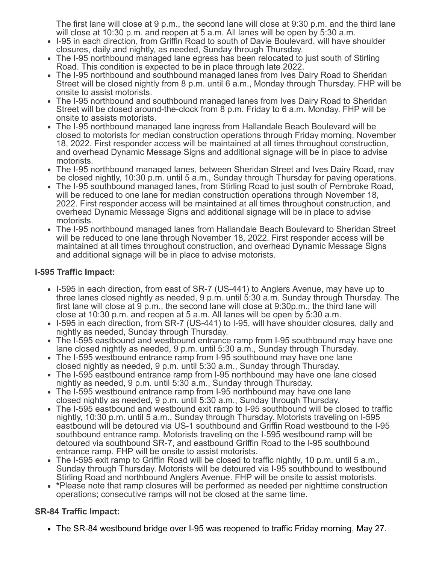The first lane will close at 9 p.m., the second lane will close at 9:30 p.m. and the third lane will close at 10:30 p.m. and reopen at 5 a.m. All lanes will be open by 5:30 a.m.

- I-95 in each direction, from Griffin Road to south of Davie Boulevard, will have shoulder closures, daily and nightly, as needed, Sunday through Thursday.
- The I-95 northbound managed lane egress has been relocated to just south of Stirling Road. This condition is expected to be in place through late 2022.
- The I-95 northbound and southbound managed lanes from Ives Dairy Road to Sheridan Street will be closed nightly from 8 p.m. until 6 a.m., Monday through Thursday. FHP will be onsite to assist motorists.
- The I-95 northbound and southbound managed lanes from Ives Dairy Road to Sheridan Street will be closed around-the-clock from 8 p.m. Friday to 6 a.m. Monday. FHP will be onsite to assists motorists.
- The I-95 northbound managed lane ingress from Hallandale Beach Boulevard will be closed to motorists for median construction operations through Friday morning, November 18, 2022. First responder access will be maintained at all times throughout construction, and overhead Dynamic Message Signs and additional signage will be in place to advise motorists.
- The I-95 northbound managed lanes, between Sheridan Street and Ives Dairy Road, may be closed nightly, 10:30 p.m. until 5 a.m., Sunday through Thursday for paving operations.
- The I-95 southbound managed lanes, from Stirling Road to just south of Pembroke Road, will be reduced to one lane for median construction operations through November 18, 2022. First responder access will be maintained at all times throughout construction, and overhead Dynamic Message Signs and additional signage will be in place to advise motorists.
- The I-95 northbound managed lanes from Hallandale Beach Boulevard to Sheridan Street will be reduced to one lane through November 18, 2022. First responder access will be maintained at all times throughout construction, and overhead Dynamic Message Signs and additional signage will be in place to advise motorists.

## **I-595 Traffic Impact:**

- I-595 in each direction, from east of SR-7 (US-441) to Anglers Avenue, may have up to three lanes closed nightly as needed, 9 p.m. until 5:30 a.m. Sunday through Thursday. The first lane will close at 9 p.m., the second lane will close at 9:30p.m., the third lane will close at 10:30 p.m. and reopen at 5 a.m. All lanes will be open by 5:30 a.m.
- I-595 in each direction, from SR-7 (US-441) to I-95, will have shoulder closures, daily and nightly as needed, Sunday through Thursday.
- The I-595 eastbound and westbound entrance ramp from I-95 southbound may have one lane closed nightly as needed, 9 p.m. until 5:30 a.m., Sunday through Thursday.
- The I-595 westbound entrance ramp from I-95 southbound may have one lane closed nightly as needed, 9 p.m. until 5:30 a.m., Sunday through Thursday.
- The I-595 eastbound entrance ramp from I-95 northbound may have one lane closed nightly as needed, 9 p.m. until 5:30 a.m., Sunday through Thursday.
- The I-595 westbound entrance ramp from I-95 northbound may have one lane closed nightly as needed, 9 p.m. until 5:30 a.m., Sunday through Thursday.
- The I-595 eastbound and westbound exit ramp to I-95 southbound will be closed to traffic nightly, 10:30 p.m. until 5 a.m., Sunday through Thursday. Motorists traveling on I-595 eastbound will be detoured via US-1 southbound and Griffin Road westbound to the I-95 southbound entrance ramp. Motorists traveling on the I-595 westbound ramp will be detoured via southbound SR-7, and eastbound Griffin Road to the I-95 southbound entrance ramp. FHP will be onsite to assist motorists.
- The I-595 exit ramp to Griffin Road will be closed to traffic nightly, 10 p.m. until 5 a.m., Sunday through Thursday. Motorists will be detoured via I-95 southbound to westbound Stirling Road and northbound Anglers Avenue. FHP will be onsite to assist motorists.
- **\***Please note that ramp closures will be performed as needed per nighttime construction operations; consecutive ramps will not be closed at the same time.

### **SR-84 Traffic Impact:**

The SR-84 westbound bridge over I-95 was reopened to traffic Friday morning, May 27.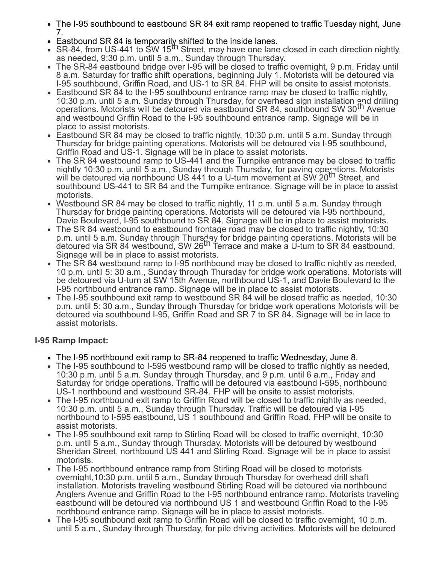- The I-95 southbound to eastbound SR 84 exit ramp reopened to traffic Tuesday night, June 7.
- 
- Eastbound SR 84 is temporarily shifted to the inside lanes.<br>SR-84, from US-441 to SW 15<sup>th</sup> Street, may have one lane closed in each direction nightly, as needed, 9:30 p.m. until 5 a.m., Sunday through Thursday.
- The SR-84 eastbound bridge over I-95 will be closed to traffic overnight, 9 p.m. Friday until 8 a.m. Saturday for traffic shift operations, beginning July 1. Motorists will be detoured via I-95 southbound, Griffin Road, and US-1 to SR 84. FHP will be onsite to assist motorists.
- Eastbound SR 84 to the I-95 southbound entrance ramp may be closed to traffic nightly, 10:30 p.m. until 5 a.m. Sunday through Thursday, for overhead sign installation and drilling operations. Motorists will be detoured via eastbound SR 84, southbound SW 30th Avenue and westbound Griffin Road to the I-95 southbound entrance ramp. Signage will be in place to assist motorists.
- Eastbound SR 84 may be closed to traffic nightly, 10:30 p.m. until 5 a.m. Sunday through Thursday for bridge painting operations. Motorists will be detoured via I-95 southbound, Griffin Road and US-1. Signage will be in place to assist motorists.
- The SR 84 westbound ramp to US-441 and the Turnpike entrance may be closed to traffic nightly 10:30 p.m. until 5 a.m., Sunday through Thursday, for paving operations. Motorists<br>will be detoured via northbound US 441 to a U-turn movement at SW 20<sup>th</sup> Street, and southbound US-441 to SR 84 and the Turnpike entrance. Signage will be in place to assist motorists.
- Westbound SR 84 may be closed to traffic nightly, 11 p.m. until 5 a.m. Sunday through Thursday for bridge painting operations. Motorists will be detoured via I-95 northbound, Davie Boulevard, I-95 southbound to SR 84. Signage will be in place to assist motorists.
- The SR 84 westbound to eastbound frontage road may be closed to traffic nightly, 10:30 p.m. until 5 a.m. Sunday through Thursday for bridge painting operations. Motorists will be<br>detoured via SR 84 westbound, SW 26<sup>th</sup> Terrace and make a U-turn to SR 84 eastbound. Signage will be in place to assist motorists.
- The SR 84 westbound ramp to I-95 northbound may be closed to traffic nightly as needed, 10 p.m. until 5: 30 a.m., Sunday through Thursday for bridge work operations. Motorists will be detoured via U-turn at SW 15th Avenue, northbound US-1, and Davie Boulevard to the I-95 northbound entrance ramp. Signage will be in place to assist motorists.
- The I-95 southbound exit ramp to westbound SR 84 will be closed traffic as needed, 10:30 p.m. until 5: 30 a.m., Sunday through Thursday for bridge work operations Motorists will be detoured via southbound I-95, Griffin Road and SR 7 to SR 84. Signage will be in lace to assist motorists.

#### **I-95 Ramp Impact:**

- The I-95 northbound exit ramp to SR-84 reopened to traffic Wednesday, June 8.
- The I-95 southbound to I-595 westbound ramp will be closed to traffic nightly as needed, 10:30 p.m. until 5 a.m. Sunday through Thursday, and 9 p.m. until 6 a.m., Friday and Saturday for bridge operations. Traffic will be detoured via eastbound I-595, northbound US-1 northbound and westbound SR-84. FHP will be onsite to assist motorists.
- The I-95 northbound exit ramp to Griffin Road will be closed to traffic nightly as needed, 10:30 p.m. until 5 a.m., Sunday through Thursday. Traffic will be detoured via I-95 northbound to I-595 eastbound, US 1 southbound and Griffin Road. FHP will be onsite to assist motorists.
- The I-95 southbound exit ramp to Stirling Road will be closed to traffic overnight, 10:30 p.m. until 5 a.m., Sunday through Thursday. Motorists will be detoured by westbound Sheridan Street, northbound US 441 and Stirling Road. Signage will be in place to assist motorists.
- The I-95 northbound entrance ramp from Stirling Road will be closed to motorists overnight,10:30 p.m. until 5 a.m., Sunday through Thursday for overhead drill shaft installation. Motorists traveling westbound Stirling Road will be detoured via northbound Anglers Avenue and Griffin Road to the I-95 northbound entrance ramp. Motorists traveling eastbound will be detoured via northbound US 1 and westbound Griffin Road to the I-95 northbound entrance ramp. Signage will be in place to assist motorists.
- The I-95 southbound exit ramp to Griffin Road will be closed to traffic overnight, 10 p.m. until 5 a.m., Sunday through Thursday, for pile driving activities. Motorists will be detoured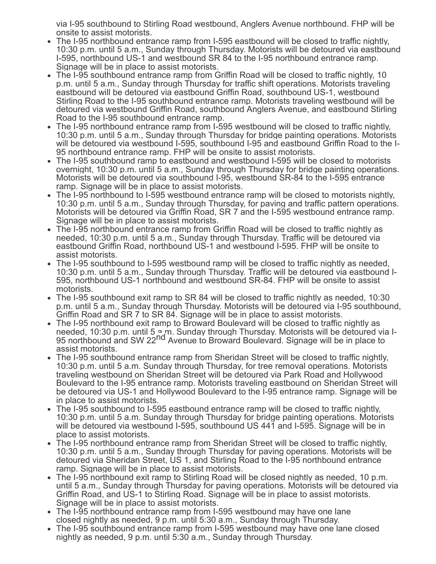via I-95 southbound to Stirling Road westbound, Anglers Avenue northbound. FHP will be onsite to assist motorists.

- The I-95 northbound entrance ramp from I-595 eastbound will be closed to traffic nightly. 10:30 p.m. until 5 a.m., Sunday through Thursday. Motorists will be detoured via eastbound I-595, northbound US-1 and westbound SR 84 to the I-95 northbound entrance ramp. Signage will be in place to assist motorists.
- The I-95 southbound entrance ramp from Griffin Road will be closed to traffic nightly, 10 p.m. until 5 a.m., Sunday through Thursday for traffic shift operations. Motorists traveling eastbound will be detoured via eastbound Griffin Road, southbound US-1, westbound Stirling Road to the I-95 southbound entrance ramp. Motorists traveling westbound will be detoured via westbound Griffin Road, southbound Anglers Avenue, and eastbound Stirling Road to the I-95 southbound entrance ramp.
- The I-95 northbound entrance ramp from I-595 westbound will be closed to traffic nightly, 10:30 p.m. until 5 a.m., Sunday through Thursday for bridge painting operations. Motorists will be detoured via westbound I-595, southbound I-95 and eastbound Griffin Road to the I-95 northbound entrance ramp. FHP will be onsite to assist motorists.
- The I-95 southbound ramp to eastbound and westbound I-595 will be closed to motorists overnight, 10:30 p.m. until 5 a.m., Sunday through Thursday for bridge painting operations. Motorists will be detoured via southbound I-95, westbound SR-84 to the I-595 entrance ramp. Signage will be in place to assist motorists.
- The I-95 northbound to I-595 westbound entrance ramp will be closed to motorists nightly, 10:30 p.m. until 5 a.m., Sunday through Thursday, for paving and traffic pattern operations. Motorists will be detoured via Griffin Road, SR 7 and the I-595 westbound entrance ramp. Signage will be in place to assist motorists.
- The I-95 northbound entrance ramp from Griffin Road will be closed to traffic nightly as needed, 10:30 p.m. until 5 a.m., Sunday through Thursday. Traffic will be detoured via eastbound Griffin Road, northbound US-1 and westbound I-595. FHP will be onsite to assist motorists.
- The I-95 southbound to I-595 westbound ramp will be closed to traffic nightly as needed, 10:30 p.m. until 5 a.m., Sunday through Thursday. Traffic will be detoured via eastbound I-595, northbound US-1 northbound and westbound SR-84. FHP will be onsite to assist motorists.
- The I-95 southbound exit ramp to SR 84 will be closed to traffic nightly as needed, 10:30 p.m. until 5 a.m., Sunday through Thursday. Motorists will be detoured via I-95 southbound, Griffin Road and SR 7 to SR 84. Signage will be in place to assist motorists.
- The I-95 northbound exit ramp to Broward Boulevard will be closed to traffic nightly as needed, 10:30 p.m. until 5 <sup>o</sup>.m. Sunday through Thursday. Motorists will be detoured via I-95 northbound and SW 22nd Avenue to Broward Boulevard. Signage will be in place to assist motorists.
- The I-95 southbound entrance ramp from Sheridan Street will be closed to traffic nightly, 10:30 p.m. until 5 a.m. Sunday through Thursday, for tree removal operations. Motorists traveling westbound on Sheridan Street will be detoured via Park Road and Hollywood Boulevard to the I-95 entrance ramp. Motorists traveling eastbound on Sheridan Street will be detoured via US-1 and Hollywood Boulevard to the I-95 entrance ramp. Signage will be in place to assist motorists.
- The I-95 southbound to I-595 eastbound entrance ramp will be closed to traffic nightly, 10:30 p.m. until 5 a.m. Sunday through Thursday for bridge painting operations. Motorists will be detoured via westbound I-595, southbound US 441 and I-595. Signage will be in place to assist motorists.
- The I-95 northbound entrance ramp from Sheridan Street will be closed to traffic nightly, 10:30 p.m. until 5 a.m., Sunday through Thursday for paving operations. Motorists will be detoured via Sheridan Street, US 1, and Stirling Road to the I-95 northbound entrance ramp. Signage will be in place to assist motorists.
- The I-95 northbound exit ramp to Stirling Road will be closed nightly as needed, 10 p.m. until 5 a.m., Sunday through Thursday for paving operations. Motorists will be detoured via Griffin Road, and US-1 to Stirling Road. Signage will be in place to assist motorists. Signage will be in place to assist motorists.
- The I-95 northbound entrance ramp from I-595 westbound may have one lane closed nightly as needed, 9 p.m. until 5:30 a.m., Sunday through Thursday.
- The I-95 southbound entrance ramp from I-595 westbound may have one lane closed nightly as needed, 9 p.m. until 5:30 a.m., Sunday through Thursday.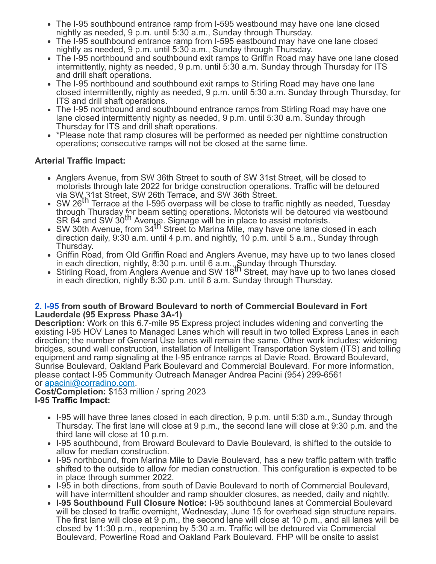- The I-95 southbound entrance ramp from I-595 westbound may have one lane closed nightly as needed, 9 p.m. until 5:30 a.m., Sunday through Thursday.
- The I-95 southbound entrance ramp from I-595 eastbound may have one lane closed nightly as needed, 9 p.m. until 5:30 a.m., Sunday through Thursday.
- The I-95 northbound and southbound exit ramps to Griffin Road may have one lane closed intermittently, nighty as needed, 9 p.m. until 5:30 a.m. Sunday through Thursday for ITS and drill shaft operations.
- The I-95 northbound and southbound exit ramps to Stirling Road may have one lane closed intermittently, nighty as needed, 9 p.m. until 5:30 a.m. Sunday through Thursday, for ITS and drill shaft operations.
- The I-95 northbound and southbound entrance ramps from Stirling Road may have one lane closed intermittently nighty as needed, 9 p.m. until 5:30 a.m. Sunday through Thursday for ITS and drill shaft operations.
- \*Please note that ramp closures will be performed as needed per nighttime construction operations; consecutive ramps will not be closed at the same time.

### **Arterial Traffic Impact:**

- Anglers Avenue, from SW 36th Street to south of SW 31st Street, will be closed to motorists through late 2022 for bridge construction operations. Traffic will be detoured via SW<sub>4</sub>31st Street, SW 26th Terrace, and SW 36th Street.
- SW 26<sup>th</sup> Terrace at the I-595 overpass will be close to traffic nightly as needed, Tuesday through Thursday for beam setting operations. Motorists will be detoured via westbound anodgin Tharsday, the beam setting operations: motorists will be actodived<br>SR 84 and SW 30<sup>th</sup> Avenue. Signage will be in place to assist motorists.
- SW 30th Avenue, from 34<sup>th</sup> Street to Marina Mile, may have one lane closed in each direction daily, 9:30 a.m. until 4 p.m. and nightly, 10 p.m. until 5 a.m., Sunday through Thursday.
- Griffin Road, from Old Griffin Road and Anglers Avenue, may have up to two lanes closed in each direction, nightly, 8:30 p.m. until 6 a.m., Sunday through Thursday.<br>Stirling Road, from Anglers Avenue and SW 18<sup>th</sup> Street, may have up to two lanes closed
- in each direction, nightly 8:30 p.m. until 6 a.m. Sunday through Thursday.

#### **[2.](https://www.google.com/maps/search/2.+I-95?entry=gmail&source=g) [I-95](https://www.google.com/maps/search/2.+I-95?entry=gmail&source=g) from south of Broward Boulevard to north of Commercial Boulevard in Fort Lauderdale (95 Express Phase 3A-1)**

**Description:** Work on this 6.7-mile 95 Express project includes widening and converting the existing I-95 HOV Lanes to Managed Lanes which will result in two tolled Express Lanes in each direction; the number of General Use lanes will remain the same. Other work includes: widening bridges, sound wall construction, installation of Intelligent Transportation System (ITS) and tolling equipment and ramp signaling at the I-95 entrance ramps at Davie Road, Broward Boulevard, Sunrise Boulevard, Oakland Park Boulevard and Commercial Boulevard. For more information, please contact I-95 Community Outreach Manager Andrea Pacini (954) 299-6561 or [apacini@corradino.com](mailto:apacini@corradino.com).

**Cost/Completion:** \$153 million / spring 2023 **I-95 Traffic Impact:**

- I-95 will have three lanes closed in each direction, 9 p.m. until 5:30 a.m., Sunday through Thursday. The first lane will close at 9 p.m., the second lane will close at 9:30 p.m. and the third lane will close at 10 p.m.
- I-95 southbound, from Broward Boulevard to Davie Boulevard, is shifted to the outside to allow for median construction.
- I-95 northbound, from Marina Mile to Davie Boulevard, has a new traffic pattern with traffic shifted to the outside to allow for median construction. This configuration is expected to be in place through summer 2022.
- I-95 in both directions, from south of Davie Boulevard to north of Commercial Boulevard, will have intermittent shoulder and ramp shoulder closures, as needed, daily and nightly.
- **I-95 Southbound Full Closure Notice:** I-95 southbound lanes at Commercial Boulevard will be closed to traffic overnight, Wednesday, June 15 for overhead sign structure repairs. The first lane will close at 9 p.m., the second lane will close at 10 p.m., and all lanes will be closed by 11:30 p.m., reopening by 5:30 a.m. Traffic will be detoured via Commercial Boulevard, Powerline Road and Oakland Park Boulevard. FHP will be onsite to assist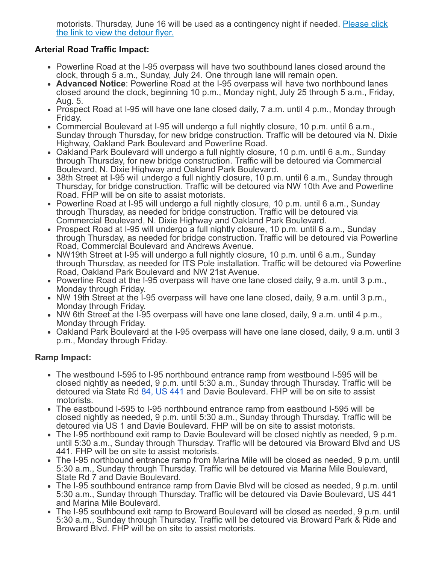[motorists. Thursday, June 16 will be used as a contingency night if needed.](https://r20.rs6.net/tn.jsp?f=001bfD7zu9LpUr_Yn-zFyF1rIFPwB7lqnA9RfkCvcuqAFoNuNgFy-anW6Rq7MNsWD1kQ6YM6hwKdMNOUhFylh3L60t3X9SfSfNaJYnbnghXpwUcFkLeDys8YqaCYBH-1tvgZKSS2cX_f-zXwLDqmLeaNKi3hLMVGlTRpA05XLL9QXxsLn8G2QhnwMibj9RrW1huzqDf2zFX0clHBaV_S934sI-5bt7lFiAIA0hmCiH7aBSvClCz9Q1-kw==&c=QgcsTQUDFxM7LlyCN2SuwRU6kJlRi991osgY--DlX4-lFUaE8XUGKA==&ch=OQBg82dIizptpMCPIKzHvsYmbVKpANIBNFNm16CSxLO3l6fLjuOQFA==) Please click the link to view the detour flyer.

### **Arterial Road Traffic Impact:**

- Powerline Road at the I-95 overpass will have two southbound lanes closed around the clock, through 5 a.m., Sunday, July 24. One through lane will remain open.
- **Advanced Notice**: Powerline Road at the I-95 overpass will have two northbound lanes closed around the clock, beginning 10 p.m., Monday night, July 25 through 5 a.m., Friday, Aug. 5.
- Prospect Road at I-95 will have one lane closed daily, 7 a.m. until 4 p.m., Monday through Friday.
- Commercial Boulevard at I-95 will undergo a full nightly closure, 10 p.m. until 6 a.m., Sunday through Thursday, for new bridge construction. Traffic will be detoured via N. Dixie Highway, Oakland Park Boulevard and Powerline Road.
- Oakland Park Boulevard will undergo a full nightly closure, 10 p.m. until 6 a.m., Sunday through Thursday, for new bridge construction. Traffic will be detoured via Commercial Boulevard, N. Dixie Highway and Oakland Park Boulevard.
- 38th Street at I-95 will undergo a full nightly closure, 10 p.m. until 6 a.m., Sunday through Thursday, for bridge construction. Traffic will be detoured via NW 10th Ave and Powerline Road. FHP will be on site to assist motorists.
- Powerline Road at I-95 will undergo a full nightly closure, 10 p.m. until 6 a.m., Sunday through Thursday, as needed for bridge construction. Traffic will be detoured via Commercial Boulevard, N. Dixie Highway and Oakland Park Boulevard.
- Prospect Road at I-95 will undergo a full nightly closure, 10 p.m. until 6 a.m., Sunday through Thursday, as needed for bridge construction. Traffic will be detoured via Powerline Road, Commercial Boulevard and Andrews Avenue.
- NW19th Street at I-95 will undergo a full nightly closure, 10 p.m. until 6 a.m., Sunday through Thursday, as needed for ITS Pole installation. Traffic will be detoured via Powerline Road, Oakland Park Boulevard and NW 21st Avenue.
- Powerline Road at the I-95 overpass will have one lane closed daily, 9 a.m. until 3 p.m., Monday through Friday.
- NW 19th Street at the 1-95 overpass will have one lane closed, daily, 9 a.m. until 3 p.m., Monday through Friday.
- NW 6th Street at the I-95 overpass will have one lane closed, daily, 9 a.m. until 4 p.m., Monday through Friday.
- Oakland Park Boulevard at the I-95 overpass will have one lane closed, daily, 9 a.m. until 3 p.m., Monday through Friday.

### **Ramp Impact:**

- The westbound I-595 to I-95 northbound entrance ramp from westbound I-595 will be closed nightly as needed, 9 p.m. until 5:30 a.m., Sunday through Thursday. Traffic will be detoured via State Rd [84, US 441](https://www.google.com/maps/search/84,+US+441?entry=gmail&source=g) and Davie Boulevard. FHP will be on site to assist motorists.
- The eastbound I-595 to I-95 northbound entrance ramp from eastbound I-595 will be closed nightly as needed, 9 p.m. until 5:30 a.m., Sunday through Thursday. Traffic will be detoured via US 1 and Davie Boulevard. FHP will be on site to assist motorists.
- The I-95 northbound exit ramp to Davie Boulevard will be closed nightly as needed, 9 p.m. until 5:30 a.m., Sunday through Thursday. Traffic will be detoured via Broward Blvd and US 441. FHP will be on site to assist motorists.
- The I-95 northbound entrance ramp from Marina Mile will be closed as needed, 9 p.m. until 5:30 a.m., Sunday through Thursday. Traffic will be detoured via Marina Mile Boulevard, State Rd 7 and Davie Boulevard.
- The I-95 southbound entrance ramp from Davie Blvd will be closed as needed, 9 p.m. until 5:30 a.m., Sunday through Thursday. Traffic will be detoured via Davie Boulevard, US 441 and Marina Mile Boulevard.
- The I-95 southbound exit ramp to Broward Boulevard will be closed as needed, 9 p.m. until 5:30 a.m., Sunday through Thursday. Traffic will be detoured via Broward Park & Ride and Broward Blvd. FHP will be on site to assist motorists.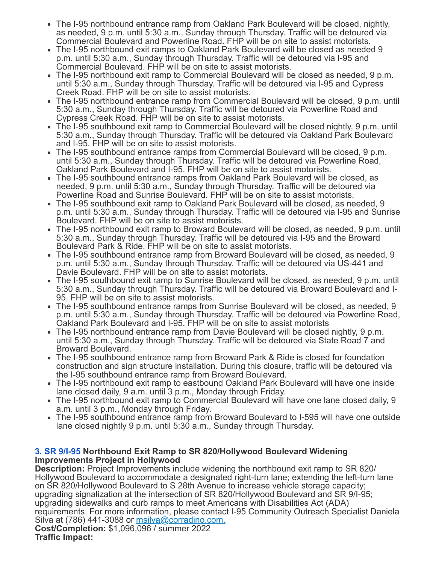- The I-95 northbound entrance ramp from Oakland Park Boulevard will be closed, nightly, as needed, 9 p.m. until 5:30 a.m., Sunday through Thursday. Traffic will be detoured via Commercial Boulevard and Powerline Road. FHP will be on site to assist motorists.
- The I-95 northbound exit ramps to Oakland Park Boulevard will be closed as needed 9 p.m. until 5:30 a.m., Sunday through Thursday. Traffic will be detoured via I-95 and Commercial Boulevard. FHP will be on site to assist motorists.
- The I-95 northbound exit ramp to Commercial Boulevard will be closed as needed, 9 p.m. until 5:30 a.m., Sunday through Thursday. Traffic will be detoured via I-95 and Cypress Creek Road. FHP will be on site to assist motorists.
- The I-95 northbound entrance ramp from Commercial Boulevard will be closed, 9 p.m. until 5:30 a.m., Sunday through Thursday. Traffic will be detoured via Powerline Road and Cypress Creek Road. FHP will be on site to assist motorists.
- The I-95 southbound exit ramp to Commercial Boulevard will be closed nightly, 9 p.m. until 5:30 a.m., Sunday through Thursday. Traffic will be detoured via Oakland Park Boulevard and I-95. FHP will be on site to assist motorists.
- The I-95 southbound entrance ramps from Commercial Boulevard will be closed, 9 p.m. until 5:30 a.m., Sunday through Thursday. Traffic will be detoured via Powerline Road, Oakland Park Boulevard and I-95. FHP will be on site to assist motorists.
- The I-95 southbound entrance ramps from Oakland Park Boulevard will be closed, as needed, 9 p.m. until 5:30 a.m., Sunday through Thursday. Traffic will be detoured via Powerline Road and Sunrise Boulevard. FHP will be on site to assist motorists.
- The I-95 southbound exit ramp to Oakland Park Boulevard will be closed, as needed, 9 p.m. until 5:30 a.m., Sunday through Thursday. Traffic will be detoured via I-95 and Sunrise Boulevard. FHP will be on site to assist motorists.
- The I-95 northbound exit ramp to Broward Boulevard will be closed, as needed, 9 p.m. until 5:30 a.m., Sunday through Thursday. Traffic will be detoured via I-95 and the Broward Boulevard Park & Ride. FHP will be on site to assist motorists.
- The I-95 southbound entrance ramp from Broward Boulevard will be closed, as needed, 9 p.m. until 5:30 a.m., Sunday through Thursday. Traffic will be detoured via US-441 and Davie Boulevard. FHP will be on site to assist motorists.
- The I-95 southbound exit ramp to Sunrise Boulevard will be closed, as needed, 9 p.m. until 5:30 a.m., Sunday through Thursday. Traffic will be detoured via Broward Boulevard and I-95. FHP will be on site to assist motorists.
- The I-95 southbound entrance ramps from Sunrise Boulevard will be closed, as needed, 9 p.m. until 5:30 a.m., Sunday through Thursday. Traffic will be detoured via Powerline Road, Oakland Park Boulevard and I-95. FHP will be on site to assist motorists
- The I-95 northbound entrance ramp from Davie Boulevard will be closed nightly, 9 p.m. until 5:30 a.m., Sunday through Thursday. Traffic will be detoured via State Road 7 and Broward Boulevard.
- The I-95 southbound entrance ramp from Broward Park & Ride is closed for foundation construction and sign structure installation. During this closure, traffic will be detoured via the I-95 southbound entrance ramp from Broward Boulevard.
- The I-95 northbound exit ramp to eastbound Oakland Park Boulevard will have one inside lane closed daily, 9 a.m. until 3 p.m., Monday through Friday.
- The I-95 northbound exit ramp to Commercial Boulevard will have one lane closed daily, 9 a.m. until 3 p.m., Monday through Friday.
- The I-95 southbound entrance ramp from Broward Boulevard to I-595 will have one outside lane closed nightly 9 p.m. until 5:30 a.m., Sunday through Thursday.

#### **[3.](https://www.google.com/maps/search/3.+SR+9%2FI-95?entry=gmail&source=g) [SR 9/I-95](https://www.google.com/maps/search/3.+SR+9%2FI-95?entry=gmail&source=g) Northbound Exit Ramp to SR 820/Hollywood Boulevard Widening Improvements Project in Hollywood**

**Description:** Project Improvements include widening the northbound exit ramp to SR 820/ Hollywood Boulevard to accommodate a designated right-turn lane; extending the left-turn lane on SR 820/Hollywood Boulevard to S 28th Avenue to increase vehicle storage capacity; upgrading signalization at the intersection of SR 820/Hollywood Boulevard and SR 9/I-95; upgrading sidewalks and curb ramps to meet Americans with Disabilities Act (ADA) requirements. For more information, please contact I-95 Community Outreach Specialist Daniela Silva at (786) 441-3088 or [msilva@corradino.com.](mailto:msilva@corradino.com.) **Cost/Completion:** \$1,096,096 / summer 2022 **Traffic Impact:**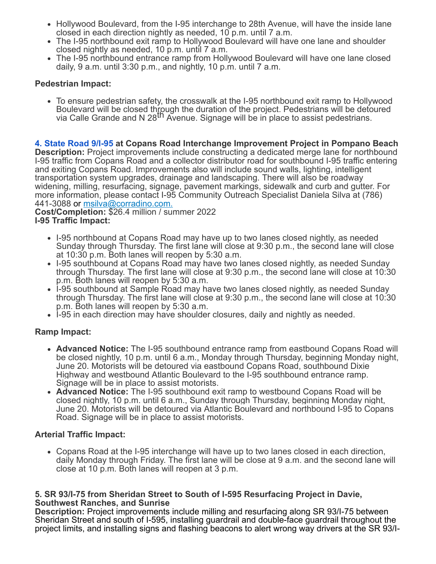- Hollywood Boulevard, from the I-95 interchange to 28th Avenue, will have the inside lane closed in each direction nightly as needed, 10 p.m. until 7 a.m.
- The I-95 northbound exit ramp to Hollywood Boulevard will have one lane and shoulder closed nightly as needed, 10 p.m. until 7 a.m.
- The I-95 northbound entrance ramp from Hollywood Boulevard will have one lane closed daily, 9 a.m. until 3:30 p.m., and nightly, 10 p.m. until 7 a.m.

### **Pedestrian Impact:**

• To ensure pedestrian safety, the crosswalk at the I-95 northbound exit ramp to Hollywood Boulevard will be closed through the duration of the project. Pedestrians will be detoured<br>via Calle Grande and N 28<sup>th</sup> Avenue. Signage will be in place to assist pedestrians.

**[4.](https://www.google.com/maps/search/4.+State+Road+9%2FI-95?entry=gmail&source=g) [State Road 9/I-95](https://www.google.com/maps/search/4.+State+Road+9%2FI-95?entry=gmail&source=g) at Copans Road Interchange Improvement Project in Pompano Beach**

**Description:** Project improvements include constructing a dedicated merge lane for northbound I-95 traffic from Copans Road and a collector distributor road for southbound I-95 traffic entering and exiting Copans Road. Improvements also will include sound walls, lighting, intelligent transportation system upgrades, drainage and landscaping. There will also be roadway widening, milling, resurfacing, signage, pavement markings, sidewalk and curb and gutter. For more information, please contact I-95 Community Outreach Specialist Daniela Silva at (786) 441-3088 or [msilva@corradino.com.](mailto:msilva@corradino.com.)

**Cost/Completion:** \$26.4 million / summer 2022 **I-95 Traffic Impact:**

- I-95 northbound at Copans Road may have up to two lanes closed nightly, as needed Sunday through Thursday. The first lane will close at 9:30 p.m., the second lane will close at 10:30 p.m. Both lanes will reopen by 5:30 a.m.
- I-95 southbound at Copans Road may have two lanes closed nightly, as needed Sunday through Thursday. The first lane will close at 9:30 p.m., the second lane will close at 10:30 p.m. Both lanes will reopen by 5:30 a.m.
- 1-95 southbound at Sample Road may have two lanes closed nightly, as needed Sunday through Thursday. The first lane will close at 9:30 p.m., the second lane will close at 10:30 p.m. Both lanes will reopen by 5:30 a.m.
- I-95 in each direction may have shoulder closures, daily and nightly as needed.

### **Ramp Impact:**

- **Advanced Notice:** The I-95 southbound entrance ramp from eastbound Copans Road will be closed nightly, 10 p.m. until 6 a.m., Monday through Thursday, beginning Monday night, June 20. Motorists will be detoured via eastbound Copans Road, southbound Dixie Highway and westbound Atlantic Boulevard to the I-95 southbound entrance ramp. Signage will be in place to assist motorists.
- **Advanced Notice:** The I-95 southbound exit ramp to westbound Copans Road will be closed nightly, 10 p.m. until 6 a.m., Sunday through Thursday, beginning Monday night, June 20. Motorists will be detoured via Atlantic Boulevard and northbound I-95 to Copans Road. Signage will be in place to assist motorists.

### **Arterial Traffic Impact:**

Copans Road at the I-95 interchange will have up to two lanes closed in each direction, daily Monday through Friday. The first lane will be close at 9 a.m. and the second lane will close at 10 p.m. Both lanes will reopen at 3 p.m.

#### **5. SR 93/I-75 from Sheridan Street to South of I-595 Resurfacing Project in Davie, Southwest Ranches, and Sunrise**

**Description:** Project improvements include milling and resurfacing along SR 93/I-75 between Sheridan Street and south of I-595, installing guardrail and double-face guardrail throughout the project limits, and installing signs and flashing beacons to alert wrong way drivers at the SR 93/I-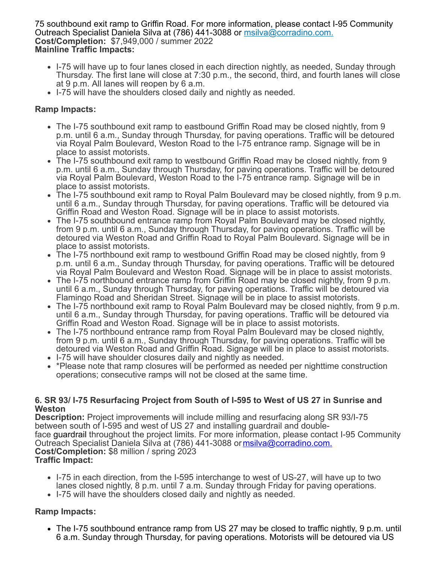75 southbound exit ramp to Griffin Road. For more information, please contact I-95 Community Outreach Specialist Daniela Silva at (786) 441-3088 or [msilva@corradino.com.](mailto:msilva@corradino.com.) **Cost/Completion:** \$7,949,000 / summer 2022 **Mainline Traffic Impacts:**

- I-75 will have up to four lanes closed in each direction nightly, as needed, Sunday through Thursday. The first lane will close at 7:30 p.m., the second, third, and fourth lanes will close at 9 p.m. All lanes will reopen by 6 a.m.
- I-75 will have the shoulders closed daily and nightly as needed.

### **Ramp Impacts:**

- The I-75 southbound exit ramp to eastbound Griffin Road may be closed nightly, from 9 p.m. until 6 a.m., Sunday through Thursday, for paving operations. Traffic will be detoured via Royal Palm Boulevard, Weston Road to the I-75 entrance ramp. Signage will be in place to assist motorists.
- The I-75 southbound exit ramp to westbound Griffin Road may be closed nightly, from 9 p.m. until 6 a.m., Sunday through Thursday, for paving operations. Traffic will be detoured via Royal Palm Boulevard, Weston Road to the I-75 entrance ramp. Signage will be in place to assist motorists.
- The I-75 southbound exit ramp to Royal Palm Boulevard may be closed nightly, from 9 p.m. until 6 a.m., Sunday through Thursday, for paving operations. Traffic will be detoured via Griffin Road and Weston Road. Signage will be in place to assist motorists.
- The I-75 southbound entrance ramp from Royal Palm Boulevard may be closed nightly, from 9 p.m. until 6 a.m., Sunday through Thursday, for paving operations. Traffic will be detoured via Weston Road and Griffin Road to Royal Palm Boulevard. Signage will be in place to assist motorists.
- The I-75 northbound exit ramp to westbound Griffin Road may be closed nightly, from 9 p.m. until 6 a.m., Sunday through Thursday, for paving operations. Traffic will be detoured via Royal Palm Boulevard and Weston Road. Signage will be in place to assist motorists.
- The I-75 northbound entrance ramp from Griffin Road may be closed nightly, from 9 p.m. until 6 a.m., Sunday through Thursday, for paving operations. Traffic will be detoured via Flamingo Road and Sheridan Street. Signage will be in place to assist motorists.
- The I-75 northbound exit ramp to Royal Palm Boulevard may be closed nightly, from 9 p.m. until 6 a.m., Sunday through Thursday, for paving operations. Traffic will be detoured via Griffin Road and Weston Road. Signage will be in place to assist motorists.
- The I-75 northbound entrance ramp from Royal Palm Boulevard may be closed nightly, from 9 p.m. until 6 a.m., Sunday through Thursday, for paving operations. Traffic will be detoured via Weston Road and Griffin Road. Signage will be in place to assist motorists.
- I-75 will have shoulder closures daily and nightly as needed.
- \*Please note that ramp closures will be performed as needed per nighttime construction operations; consecutive ramps will not be closed at the same time.

#### **6. SR 93/ I-75 Resurfacing Project from South of I-595 to West of US 27 in Sunrise and Weston**

**Description:** Project improvements will include milling and resurfacing along SR 93/I-75 between south of I-595 and west of US 27 and installing guardrail and doubleface guardrail throughout the project limits. For more information, please contact I-95 Community Outreach Specialist Daniela Silva at (786) 441-3088 or [msilva@corradino.com.](mailto:msilva@corradino.com.) **Cost/Completion:** \$8 million / spring 2023 **Traffic Impact:**

- I-75 in each direction, from the I-595 interchange to west of US-27, will have up to two lanes closed nightly, 8 p.m. until 7 a.m. Sunday through Friday for paving operations.
- I-75 will have the shoulders closed daily and nightly as needed.

# **Ramp Impacts:**

The I-75 southbound entrance ramp from US 27 may be closed to traffic nightly, 9 p.m. until 6 a.m. Sunday through Thursday, for paving operations. Motorists will be detoured via US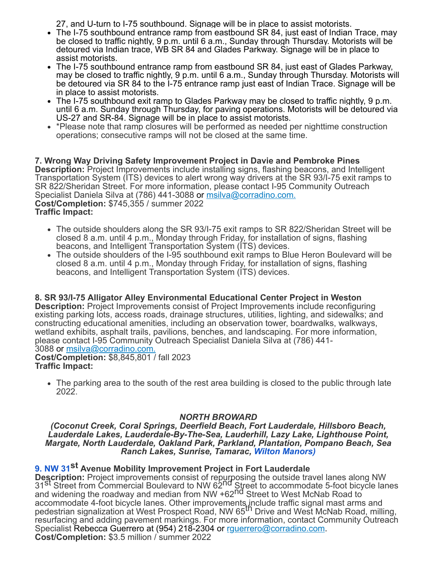27, and U-turn to I-75 southbound. Signage will be in place to assist motorists.

- The I-75 southbound entrance ramp from eastbound SR 84, just east of Indian Trace, may be closed to traffic nightly, 9 p.m. until 6 a.m., Sunday through Thursday. Motorists will be detoured via Indian trace, WB SR 84 and Glades Parkway. Signage will be in place to assist motorists.
- The I-75 southbound entrance ramp from eastbound SR 84, just east of Glades Parkway, may be closed to traffic nightly, 9 p.m. until 6 a.m., Sunday through Thursday. Motorists will be detoured via SR 84 to the I-75 entrance ramp just east of Indian Trace. Signage will be in place to assist motorists.
- The I-75 southbound exit ramp to Glades Parkway may be closed to traffic nightly, 9 p.m. until 6 a.m. Sunday through Thursday, for paving operations. Motorists will be detoured via US-27 and SR-84. Signage will be in place to assist motorists.
- \*Please note that ramp closures will be performed as needed per nighttime construction operations; consecutive ramps will not be closed at the same time.

**7. Wrong Way Driving Safety Improvement Project in Davie and Pembroke Pines Description:** Project Improvements include installing signs, flashing beacons, and Intelligent Transportation System (ITS) devices to alert wrong way drivers at the SR 93/I-75 exit ramps to SR 822/Sheridan Street. For more information, please contact I-95 Community Outreach Specialist Daniela Silva at (786) 441-3088 or [msilva@corradino.com.](mailto:msilva@corradino.com.) **Cost/Completion:** \$745,355 / summer 2022 **Traffic Impact:**

- The outside shoulders along the SR 93/I-75 exit ramps to SR 822/Sheridan Street will be closed 8 a.m. until 4 p.m., Monday through Friday, for installation of signs, flashing beacons, and Intelligent Transportation System (ITS) devices.
- The outside shoulders of the I-95 southbound exit ramps to Blue Heron Boulevard will be closed 8 a.m. until 4 p.m., Monday through Friday, for installation of signs, flashing beacons, and Intelligent Transportation System (ITS) devices.

**8. SR 93/I-75 Alligator Alley Environmental Educational Center Project in Weston Description:** Project Improvements consist of Project Improvements include reconfiguring existing parking lots, access roads, drainage structures, utilities, lighting, and sidewalks; and constructing educational amenities, including an observation tower, boardwalks, walkways, wetland exhibits, asphalt trails, pavilions, benches, and landscaping. For more information, please contact I-95 Community Outreach Specialist Daniela Silva at (786) 441- 3088 or [msilva@corradino.com.](mailto:msilva@corradino.com.)

**Cost/Completion:** \$8,845,801 / fall 2023 **Traffic Impact:**

The parking area to the south of the rest area building is closed to the public through late 2022.

# *NORTH BROWARD*

*(Coconut Creek, Coral Springs, Deerfield Beach, Fort Lauderdale, Hillsboro Beach, Lauderdale Lakes, Lauderdale-By-The-Sea, Lauderhill, Lazy Lake, Lighthouse Point, Margate, North Lauderdale, Oakland Park, Parkland, Plantation, Pompano Beach, Sea Ranch Lakes, Sunrise, Tamarac, [Wilton Manors\)](https://www.google.com/maps/search/Wilton+Manors)+%0D%0A+%0D%0A+%0D%0A+9.+NW+31?entry=gmail&source=g)*

# **[9.](https://www.google.com/maps/search/Wilton+Manors)+%0D%0A+%0D%0A+%0D%0A+9.+NW+31?entry=gmail&source=g) [NW 31](https://www.google.com/maps/search/Wilton+Manors)+%0D%0A+%0D%0A+%0D%0A+9.+NW+31?entry=gmail&source=g)st Avenue Mobility Improvement Project in Fort Lauderdale**

**Description:** Project improvements consist of repurposing the outside travel lanes along NW<br>31<sup>St</sup> Street from Commercial Boulevard to NW 62<sup>nd</sup> Street to accommodate 5-foot bicycle lanes and widening the roadway and median from NW +62<sup>nd</sup> Street to West McNab Road to accommodate 4-foot bicycle lanes. Other improvements include traffic signal mast arms and<br>pedestrian signalization at West Prospect Road, NW 65<sup>th</sup> Drive and West McNab Road, milling, resurfacing and adding pavement markings. For more information, contact Community Outreach Specialist Rebecca Guerrero at (954) 218-2304 or [rguerrero@corradino.com.](mailto:rguerrero@corradino.com) **Cost/Completion:** \$3.5 million / summer 2022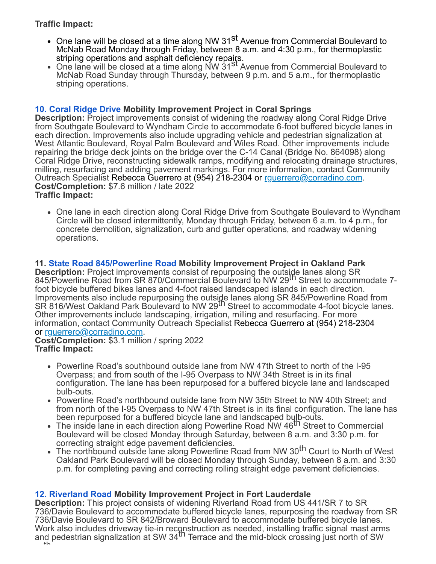## **Traffic Impact:**

- One lane will be closed at a time along NW 31<sup>st</sup> Avenue from Commercial Boulevard to McNab Road Monday through Friday, between 8 a.m. and 4:30 p.m., for thermoplastic striping operations and asphalt deficiency repairs.
- One lane will be closed at a time along NW 31<sup>St</sup> Avenue from Commercial Boulevard to McNab Road Sunday through Thursday, between 9 p.m. and 5 a.m., for thermoplastic striping operations.

### **[10.](https://www.google.com/maps/search/10.+Coral+Ridge+Drive?entry=gmail&source=g) [Coral Ridge Drive](https://www.google.com/maps/search/10.+Coral+Ridge+Drive?entry=gmail&source=g) Mobility Improvement Project in Coral Springs**

**Description:** Project improvements consist of widening the roadway along Coral Ridge Drive from Southgate Boulevard to Wyndham Circle to accommodate 6-foot buffered bicycle lanes in each direction. Improvements also include upgrading vehicle and pedestrian signalization at West Atlantic Boulevard, Royal Palm Boulevard and Wiles Road. Other improvements include repairing the bridge deck joints on the bridge over the C-14 Canal (Bridge No. 864098) along Coral Ridge Drive, reconstructing sidewalk ramps, modifying and relocating drainage structures, milling, resurfacing and adding pavement markings. For more information, contact Community Outreach Specialist Rebecca Guerrero at (954) 218-2304 or [rguerrero@corradino.com](mailto:rguerrero@corradino.com). **Cost/Completion:** \$7.6 million / late 2022 **Traffic Impact:**

• One lane in each direction along Coral Ridge Drive from Southgate Boulevard to Wyndham Circle will be closed intermittently, Monday through Friday, between 6 a.m. to 4 p.m., for concrete demolition, signalization, curb and gutter operations, and roadway widening operations.

### **11. [State Road 845/Powerline Road](https://www.google.com/maps/search/11.+State+Road+845%2FPowerline+Road?entry=gmail&source=g) Mobility Improvement Project in Oakland Park**

**Description:** Project improvements consist of repurposing the outside lanes along SR 845/Powerline Road from SR 870/Commercial Boulevard to NW 29<sup>th</sup> Street to accommodate 7foot bicycle buffered bikes lanes and 4-foot raised landscaped islands in each direction. Improvements also include repurposing the outside lanes along SR 845/Powerline Road from<br>SR 816/West Oakland Park Boulevard to NW 29<sup>th</sup> Street to accommodate 4-foot bicycle lanes. Other improvements include landscaping, irrigation, milling and resurfacing. For more information, contact Community Outreach Specialist Rebecca Guerrero at (954) 218-2304 or [rguerrero@corradino.com.](mailto:rguerrero@corradino.com)

#### **Cost/Completion:** \$3.1 million / spring 2022 **Traffic Impact:**

- Powerline Road's southbound outside lane from NW 47th Street to north of the I-95 Overpass; and from south of the I-95 Overpass to NW 34th Street is in its final configuration. The lane has been repurposed for a buffered bicycle lane and landscaped bulb-outs.
- Powerline Road's northbound outside lane from NW 35th Street to NW 40th Street; and from north of the I-95 Overpass to NW 47th Street is in its final configuration. The lane has been repurposed for a buffered bicycle lane and landscaped bulb-outs.
- The inside lane in each direction along Powerline Road NW 46<sup>th</sup> Street to Commercial Boulevard will be closed Monday through Saturday, between 8 a.m. and 3:30 p.m. for correcting straight edge pavement deficiencies.
- The northbound outside lane along Powerline Road from NW 30<sup>th</sup> Court to North of West Oakland Park Boulevard will be closed Monday through Sunday, between 8 a.m. and 3:30 p.m. for completing paving and correcting rolling straight edge pavement deficiencies.

### **[12.](https://www.google.com/maps/search/12.+Riverland+Road?entry=gmail&source=g) [Riverland Road](https://www.google.com/maps/search/12.+Riverland+Road?entry=gmail&source=g) Mobility Improvement Project in Fort Lauderdale**

**Description:** This project consists of widening Riverland Road from US 441/SR 7 to SR 736/Davie Boulevard to accommodate buffered bicycle lanes, repurposing the roadway from SR 736/Davie Boulevard to SR 842/Broward Boulevard to accommodate buffered bicycle lanes. Work also includes driveway tie-in reconstruction as needed, installing traffic signal mast arms<br>and pedestrian signalization at SW 34<sup>th</sup> Terrace and the mid-block crossing just north of SW th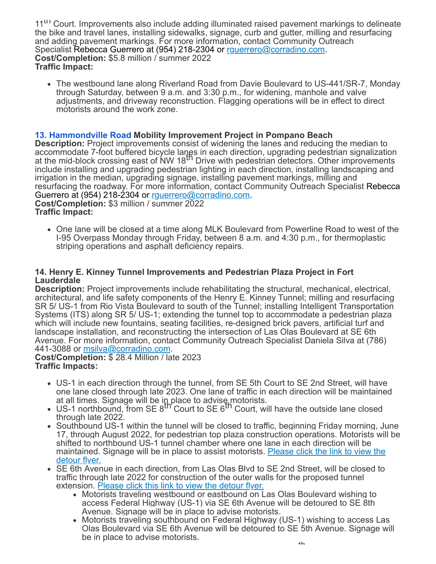11<sup>III</sup> Court. Improvements also include adding illuminated raised pavement markings to delineate the bike and travel lanes, installing sidewalks, signage, curb and gutter, milling and resurfacing and adding pavement markings. For more information, contact Community Outreach Specialist Rebecca Guerrero at (954) 218-2304 or [rguerrero@corradino.com.](mailto:rguerrero@corradino.com) **Cost/Completion:** \$5.8 million / summer 2022 **Traffic Impact:**

The westbound lane along Riverland Road from Davie Boulevard to US-441/SR-7, Monday through Saturday, between 9 a.m. and 3:30 p.m., for widening, manhole and valve adjustments, and driveway reconstruction. Flagging operations will be in effect to direct motorists around the work zone.

### **[13.](https://www.google.com/maps/search/13.+Hammondville+Road?entry=gmail&source=g) [Hammondville Road](https://www.google.com/maps/search/13.+Hammondville+Road?entry=gmail&source=g) Mobility Improvement Project in Pompano Beach**

**Description:** Project improvements consist of widening the lanes and reducing the median to accommodate 7-foot buffered bicycle langs in each direction, upgrading pedestrian signalization at the mid-block crossing east of NW  $18^{th}$  Drive with pedestrian detectors. Other improvements include installing and upgrading pedestrian lighting in each direction, installing landscaping and irrigation in the median, upgrading signage, installing pavement markings, milling and resurfacing the roadway. For more information, contact Community Outreach Specialist Rebecca Guerrero at (954) 218-2304 or rquerrero@corradino.com. **Cost/Completion:** \$3 million / summer 2022

**Traffic Impact:**

One lane will be closed at a time along MLK Boulevard from Powerline Road to west of the I-95 Overpass Monday through Friday, between 8 a.m. and 4:30 p.m., for thermoplastic striping operations and asphalt deficiency repairs.

#### **14. Henry E. Kinney Tunnel Improvements and Pedestrian Plaza Project in Fort Lauderdale**

**Description:** Project improvements include rehabilitating the structural, mechanical, electrical, architectural, and life safety components of the Henry E. Kinney Tunnel; milling and resurfacing SR 5/ US-1 from Rio Vista Boulevard to south of the Tunnel; installing Intelligent Transportation Systems (ITS) along SR 5/ US-1; extending the tunnel top to accommodate a pedestrian plaza which will include new fountains, seating facilities, re-designed brick pavers, artificial turf and landscape installation, and reconstructing the intersection of Las Olas Boulevard at SE 6th Avenue. For more information, contact Community Outreach Specialist Daniela Silva at (786) 441-3088 or [msilva@corradino.com.](mailto:msilva@corradino.com)

**Cost/Completion:** \$ 28.4 Million / late 2023 **Traffic Impacts:**

- US-1 in each direction through the tunnel, from SE 5th Court to SE 2nd Street, will have one lane closed through late 2023. One lane of traffic in each direction will be maintained
- at all times. Signage will be in place to advise motorists.<br>US-1 northbound, from SE 8<sup>th</sup> Court to SE 6<sup>th</sup> Court, will have the outside lane closed through late 2022.
- Southbound US-1 within the tunnel will be closed to traffic, beginning Friday morning, June 17, through August 2022, for pedestrian top plaza construction operations. Motorists will be shifted to northbound US-1 tunnel chamber where one lane in each direction will be [maintained. Signage will be in place to assist motorists.](https://r20.rs6.net/tn.jsp?f=001bfD7zu9LpUr_Yn-zFyF1rIFPwB7lqnA9RfkCvcuqAFoNuNgFy-anW6Rq7MNsWD1kW78izegMLOCXYnOns7MHDX1TKIJsXutukrx9IP7wkI1-Ei2u8Y_dSxtuCcRusG5lbusOEpl14UMBbyHb0Ui2vAAcWOlGDAY2b2nGyYY6AIVyFWG5ZpgeAz_Zxe9IYnYgLeD_VFQZZ3NbGg2JrWMj1mvbqF4ZinS22oikJdkRs-bwVNXV0DSMYw==&c=QgcsTQUDFxM7LlyCN2SuwRU6kJlRi991osgY--DlX4-lFUaE8XUGKA==&ch=OQBg82dIizptpMCPIKzHvsYmbVKpANIBNFNm16CSxLO3l6fLjuOQFA==) Please click the link to view the detour flyer.
- SE 6th Avenue in each direction, from Las Olas Blvd to SE 2nd Street, will be closed to traffic through late 2022 for construction of the outer walls for the proposed tunnel extension. [Please click this link to view the detour flyer.](https://r20.rs6.net/tn.jsp?f=001bfD7zu9LpUr_Yn-zFyF1rIFPwB7lqnA9RfkCvcuqAFoNuNgFy-anW6Rq7MNsWD1kvZraYVSZtqVgVF1UwqwTO-HexdnjjppoJWXsT5Aue1782Sz_KGGZd3ZPERThe-rfX1Q1xXsgwrkyZwT4mLQFM_-znzIcOuFKe9AoqH_KR-JiV9jMwZlHW9bGsTddqX6ZCAb7gP9-Sgz_IyImBoRDAwXIBdSJXb4VdNfSSEeEDcUhIfH8f2F8ATNC3P1A2dZlmyiMSwx9OoUucz4tzUT-zubgQxThqRqzxGPE2tfi5TxpYH8ofKJahss_5PtWz1AhJ97pbJbV2NbDxKHFv2ssiEnGwY_XTM6JV3lgXaZ-BFrXPNHR3W2kIeMnw7uSlM7GQ9t8SmHMxQp8cor4-fGhVyo7ALZN5PvfZoAIjyb4yIMgISUllp6QMxT24WaN5Mr7jMERqYYX_1Ow9MwYq0uSePTnlt5RW2A0On0YhfR8y_V47VpZLfHa2XuNyK86D80VID5FucEAz3GTBvb0Xi8HAyqlBifHpeFs1wGxpTUJw9ri_l2X9I3-dP29kfvVwEA96BUyxY-6FjiU7Z-RjBwYER1Y9mw41nGQebA70BkDeQNLC4njxCsETiLqfsKQzhWUmMricK3NF4woW3Vdas4NU8cAzircaRifITlaKIeb5zV2e9FH_4D3f4GSKll7cSfMVGrnsjz72UI5MmIoZdYJyqCu5v8tKA0I_Dkh9DAQEkRdw8FihvaWCpnAIie375ae4qzSm-pA27jkx1Axzjf_2Ev5lWMi0wxfldstwFzElfDFlsHCVxIRr2nrrsuuqMlsaSL2IkqWTkELDnef9Kyn98ttez2od0er0nTkNiX_sDo9MtrhZex7Zl7JTUPeN-5-&c=QgcsTQUDFxM7LlyCN2SuwRU6kJlRi991osgY--DlX4-lFUaE8XUGKA==&ch=OQBg82dIizptpMCPIKzHvsYmbVKpANIBNFNm16CSxLO3l6fLjuOQFA==)
	- Motorists traveling westbound or eastbound on Las Olas Boulevard wishing to access Federal Highway (US-1) via SE 6th Avenue will be detoured to SE 8th Avenue. Signage will be in place to advise motorists.
	- Motorists traveling southbound on Federal Highway (US-1) wishing to access Las Olas Boulevard via SE 6th Avenue will be detoured to SE 5th Avenue. Signage will be in place to advise motorists.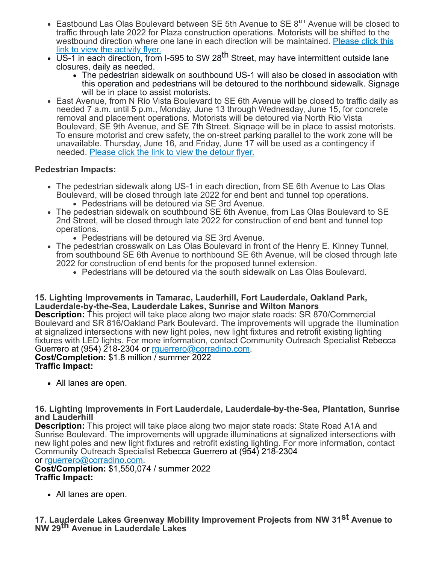- Eastbound Las Olas Boulevard between SE 5th Avenue to SE 8<sup>th</sup> Avenue will be closed to traffic through late 2022 for Plaza construction operations. Motorists will be shifted to the [westbound direction where one lane in each direction will be maintained.](https://r20.rs6.net/tn.jsp?f=001bfD7zu9LpUr_Yn-zFyF1rIFPwB7lqnA9RfkCvcuqAFoNuNgFy-anW6Rq7MNsWD1kU5lYx_OulDy1UhsypORo6eNQI24FNo-JqmclE3y4zMzpB11R1gxhblrZYvVAbE6o4IbD3CHK6mVi8LvPAQo5taZv8-J5Wk3svLkj4JiUFEaQN-1Dq4VKHgs9tWa9cmv2iW_N7VfL3ggj74ATG34oA-iBzMH8CW_DilAKIsuEN6hPVUcjfcdDsD_wsS_H_5hj48YeRkcPlaXWjWwo5li_bJDMQUJ2XN_pViFxVA8KYLpLEHavRgSiw0aIGPP4mY1itYG90nS3pd5k3A753juksePBkn9DmWgRjJbORi8_C3-hfs-chOO9gaqH3UXHmIEl4w9aRl_4Qx-lJwunXJ1wLpZHWmv6XxNBpz8flZB0VXN6sY_pQf6hDRJYkMPPYqWGJWPsBFfL9M0CYjquFud-CGmnaLMR2RqQpwYhNNcea1K9IeG_70c0bonlW2KggCfAZ4Qvcm6resKkIcoREHGw87wsFvw8nt8o8CA5U2CqmXH0Oha60e6ksRoI0hzMyYuIblytvDWdDP19G_Kt5IOlteD0YIv2-QN7Fxx6FTWaXaOvYPGw8vdhcjd8dKvSVcUwJCgCWMbAZ5c-yKBhgTONMrAe9IPAyUVyKsipk3Sfh85Mfdi0YEEIhniCab3Qrv58_HIFGKV6nZdKf3tyga3y1ZK317kWpMHUyAYN_H5QN8XEYakadAVCBEryLGyCo06EnfVXd_1p5dgE6wXboaPaHMhvctl13It65GlfNm3lNhGqMUEEDMtiGw6Drtev21-Feq10R64jpJzzHPkbhQlSZTED16thFpENXp8PcXik6pyVKXWgHm9OfjWfEXO9fDbx9ZKnNA8hHsKo53rc7t9JrA==&c=QgcsTQUDFxM7LlyCN2SuwRU6kJlRi991osgY--DlX4-lFUaE8XUGKA==&ch=OQBg82dIizptpMCPIKzHvsYmbVKpANIBNFNm16CSxLO3l6fLjuOQFA==) Please click this
- link to view the activity flyer.<br>US-1 in each direction, from I-595 to SW 28<sup>th</sup> Street, may have intermittent outside lane closures, daily as needed.
	- The pedestrian sidewalk on southbound US-1 will also be closed in association with this operation and pedestrians will be detoured to the northbound sidewalk. Signage will be in place to assist motorists.
- East Avenue, from N Rio Vista Boulevard to SE 6th Avenue will be closed to traffic daily as needed 7 a.m. until 5 p.m., Monday, June 13 through Wednesday, June 15, for concrete removal and placement operations. Motorists will be detoured via North Rio Vista Boulevard, SE 9th Avenue, and SE 7th Street. Signage will be in place to assist motorists. To ensure motorist and crew safety, the on-street parking parallel to the work zone will be unavailable. Thursday, June 16, and Friday, June 17 will be used as a contingency if needed. [Please click the link to view the detour flyer.](https://r20.rs6.net/tn.jsp?f=001bfD7zu9LpUr_Yn-zFyF1rIFPwB7lqnA9RfkCvcuqAFoNuNgFy-anW6Rq7MNsWD1ki0SXIwmDfKS14bfilF9ym_-Jco85b8NeD--0MldqsZA4khZDG6zKStWWAcFlPaYqehqQJlD3dFPvKodsZzF_B7d2h0Qmn08GHkTqYoAZz3IWWh_5k6yIcsHJIHPO9SaLaiFN3_j_JBTMFa5RpjgJy3RudnU91sBwLMpUr7qDef8kl3JI8ZmTOA==&c=QgcsTQUDFxM7LlyCN2SuwRU6kJlRi991osgY--DlX4-lFUaE8XUGKA==&ch=OQBg82dIizptpMCPIKzHvsYmbVKpANIBNFNm16CSxLO3l6fLjuOQFA==)

### **Pedestrian Impacts:**

- The pedestrian sidewalk along US-1 in each direction, from SE 6th Avenue to Las Olas Boulevard, will be closed through late 2022 for end bent and tunnel top operations. Pedestrians will be detoured via SE 3rd Avenue.
- The pedestrian sidewalk on southbound SE 6th Avenue, from Las Olas Boulevard to SE 2nd Street, will be closed through late 2022 for construction of end bent and tunnel top operations.
	- Pedestrians will be detoured via SE 3rd Avenue.
- The pedestrian crosswalk on Las Olas Boulevard in front of the Henry E. Kinney Tunnel, from southbound SE 6th Avenue to northbound SE 6th Avenue, will be closed through late 2022 for construction of end bents for the proposed tunnel extension.
	- Pedestrians will be detoured via the south sidewalk on Las Olas Boulevard.

#### **15. Lighting Improvements in Tamarac, Lauderhill, Fort Lauderdale, Oakland Park, Lauderdale-by-the-Sea, Lauderdale Lakes, Sunrise and Wilton Manors**

**Description:** This project will take place along two major state roads: SR 870/Commercial Boulevard and SR 816/Oakland Park Boulevard. The improvements will upgrade the illumination at signalized intersections with new light poles, new light fixtures and retrofit existing lighting fixtures with LED lights. For more information, contact Community Outreach Specialist Rebecca Guerrero at (954) 218-2304 or rquerrero@corradino.com.

**Cost/Completion:** \$1.8 million / summer 2022 **Traffic Impact:**

All lanes are open.

#### **16. Lighting Improvements in Fort Lauderdale, Lauderdale-by-the-Sea, Plantation, Sunrise and Lauderhill**

**Description:** This project will take place along two major state roads: State Road A1A and Sunrise Boulevard. The improvements will upgrade illuminations at signalized intersections with new light poles and new light fixtures and retrofit existing lighting. For more information, contact Community Outreach Specialist Rebecca Guerrero at (954) 218-2304

or [rguerrero@corradino.com.](mailto:rguerrero@corradino.com)

**Cost/Completion:** \$1,550,074 / summer 2022 **Traffic Impact:**

All lanes are open.

**17. Lauderdale Lakes Greenway Mobility Improvement Projects from NW 31st Avenue to NW 29th Avenue in Lauderdale Lakes**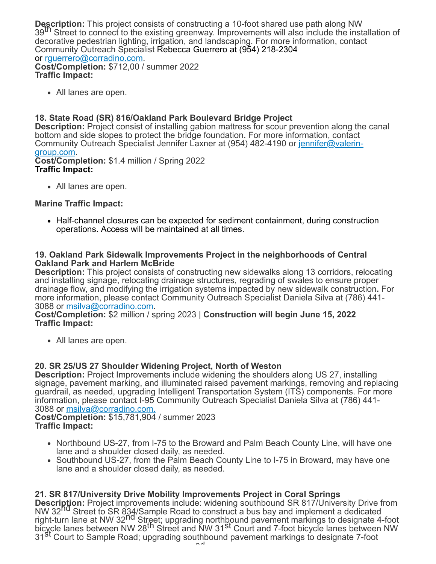**Description:** This project consists of constructing a 10-foot shared use path along NW 39<sup>th</sup> Street to connect to the existing greenway. Improvements will also include the installation of decorative pedestrian lighting, irrigation, and landscaping. For more information, contact Community Outreach Specialist Rebecca Guerrero at (954) 218-2304 or [rguerrero@corradino.com.](mailto:rguerrero@corradino.com)

**Cost/Completion:** \$712,00 / summer 2022 **Traffic Impact:**

All lanes are open.

### **18. State Road (SR) 816/Oakland Park Boulevard Bridge Project**

**Description:** Project consist of installing gabion mattress for scour prevention along the canal bottom and side slopes to protect the bridge foundation. For more information, contact [Community Outreach Specialist Jennifer Laxner at \(954\) 482-4190 or](mailto:jennifer@valerin-group.com) <u>jennifer@valerin-</u> group.com.

**Cost/Completion:** \$1.4 million / Spring 2022 **Traffic Impact:**

• All lanes are open.

### **Marine Traffic Impact:**

• Half-channel closures can be expected for sediment containment, during construction operations. Access will be maintained at all times.

#### **19. Oakland Park Sidewalk Improvements Project in the neighborhoods of Central Oakland Park and Harlem McBride**

**Description:** This project consists of constructing new sidewalks along 13 corridors, relocating and installing signage, relocating drainage structures, regrading of swales to ensure proper drainage flow, and modifying the irrigation systems impacted by new sidewalk construction**.** For more information, please contact Community Outreach Specialist Daniela Silva at (786) 441- 3088 or [msilva@corradino.com.](mailto:msilva@corradino.com)

**Cost/Completion:** \$2 million / spring 2023 | **Construction will begin June 15, 2022 Traffic Impact:**

All lanes are open.

### **20. SR 25/US 27 Shoulder Widening Project, North of Weston**

**Description:** Project Improvements include widening the shoulders along US 27, installing signage, pavement marking, and illuminated raised pavement markings, removing and replacing guardrail, as needed, upgrading Intelligent Transportation System (ITS) components. For more information, please contact I-95 Community Outreach Specialist Daniela Silva at (786) 441 3088 or [msilva@corradino.com.](mailto:msilva@corradino.com.)

**Cost/Completion:** \$15,781,904 / summer 2023 **Traffic Impact:**

- Northbound US-27, from I-75 to the Broward and Palm Beach County Line, will have one lane and a shoulder closed daily, as needed.
- Southbound US-27, from the Palm Beach County Line to I-75 in Broward, may have one lane and a shoulder closed daily, as needed.

### **21. SR 817/University Drive Mobility Improvements Project in Coral Springs**

**Description:** Project improvements include: widening southbound SR 817/University Drive from NW 32nd Street to SR 834/Sample Road to construct a bus bay and implement a dedicated right-turn lane at NW 32<sup>nd</sup> Street; upgrading northbound pavement markings to designate 4-foot bicycle lanes between NW 28th Street and NW 31st Court and 7-foot bicycle lanes between NW 31<sup>St</sup> Court to Sample Road; upgrading southbound pavement markings to designate 7-foot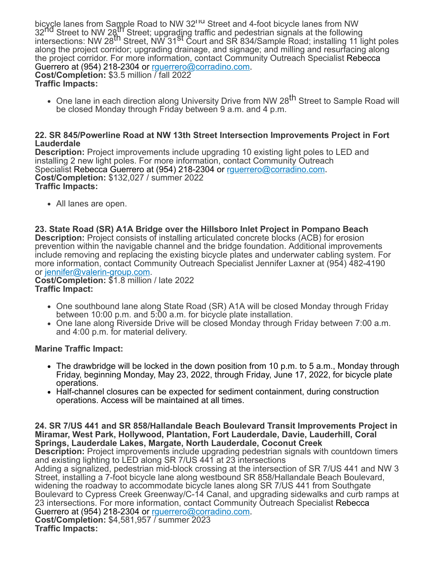bicycle lanes from Sample Road to NW 32<sup>rid</sup> Street and 4-foot bicycle lanes from NW 32<sup>nd</sup> Street to NW 28<sup>th</sup> Street; upgrading traffic and pedestrian signals at the following intersections: NW 28th Street, NW 31st Court and SR 834/Sample Road; installing 11 light poles along the project corridor; upgrading drainage, and signage; and milling and resurfacing along the project corridor. For more information, contact Community Outreach Specialist Rebecca Guerrero at (954) 218-2304 or [rguerrero@corradino.com.](mailto:rguerrero@corradino.com) **Cost/Completion:** \$3.5 million / fall 2022 **Traffic Impacts:**

• One lane in each direction along University Drive from NW 28<sup>th</sup> Street to Sample Road will be closed Monday through Friday between 9 a.m. and 4 p.m.

#### **22. SR 845/Powerline Road at NW 13th Street Intersection Improvements Project in Fort Lauderdale**

**Description:** Project improvements include upgrading 10 existing light poles to LED and installing 2 new light poles. For more information, contact Community Outreach Specialist Rebecca Guerrero at (954) 218-2304 or [rguerrero@corradino.com.](mailto:rguerrero@corradino.com) **Cost/Completion:** \$132,027 / summer 2022 **Traffic Impacts:**

• All lanes are open.

**23. State Road (SR) A1A Bridge over the Hillsboro Inlet Project in Pompano Beach Description:** Project consists of installing articulated concrete blocks (ACB) for erosion prevention within the navigable channel and the bridge foundation. Additional improvements include removing and replacing the existing bicycle plates and underwater cabling system. For more information, contact Community Outreach Specialist Jennifer Laxner at (954) 482-4190 or [jennifer@valerin-group.com](mailto:jennifer@valerin-group.com).

**Cost/Completion:** \$1.8 million / late 2022 **Traffic Impact:**

- One southbound lane along State Road (SR) A1A will be closed Monday through Friday between 10:00 p.m. and 5:00 a.m. for bicycle plate installation.
- One lane along Riverside Drive will be closed Monday through Friday between 7:00 a.m. and 4:00 p.m. for material delivery.

#### **Marine Traffic Impact:**

- The drawbridge will be locked in the down position from 10 p.m. to 5 a.m., Monday through Friday, beginning Monday, May 23, 2022, through Friday, June 17, 2022, for bicycle plate operations.
- Half-channel closures can be expected for sediment containment, during construction operations. Access will be maintained at all times.

**24. SR 7/US 441 and SR 858/Hallandale Beach Boulevard Transit Improvements Project in Miramar, West Park, Hollywood, Plantation, Fort Lauderdale, Davie, Lauderhill, Coral Springs, Lauderdale Lakes, Margate, North Lauderdale, Coconut Creek**

**Description:** Project improvements include upgrading pedestrian signals with countdown timers and existing lighting to LED along SR 7/US 441 at 23 intersections

Adding a signalized, pedestrian mid-block crossing at the intersection of SR 7/US 441 and NW 3 Street, installing a 7-foot bicycle lane along westbound SR 858/Hallandale Beach Boulevard, widening the roadway to accommodate bicycle lanes along SR 7/US 441 from Southgate Boulevard to Cypress Creek Greenway/C-14 Canal, and upgrading sidewalks and curb ramps at 23 intersections. For more information, contact Community Outreach Specialist Rebecca Guerrero at (954) 218-2304 or [rguerrero@corradino.com.](mailto:rguerrero@corradino.com) **Cost/Completion:** \$4,581,957 / summer 2023

**Traffic Impacts:**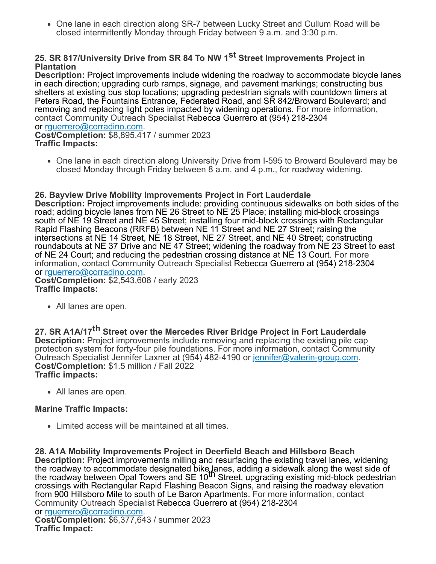• One lane in each direction along SR-7 between Lucky Street and Cullum Road will be closed intermittently Monday through Friday between 9 a.m. and 3:30 p.m.

### **25. SR 817/University Drive from SR 84 To NW 1st Street Improvements Project in Plantation**

**Description:** Project improvements include widening the roadway to accommodate bicycle lanes in each direction; upgrading curb ramps, signage, and pavement markings; constructing bus shelters at existing bus stop locations; upgrading pedestrian signals with countdown timers at Peters Road, the Fountains Entrance, Federated Road, and SR 842/Broward Boulevard; and removing and replacing light poles impacted by widening operations. For more information, contact Community Outreach Specialist Rebecca Guerrero at (954) 218-2304 or [rguerrero@corradino.com.](mailto:rguerrero@corradino.com)

**Cost/Completion:** \$8,895,417 / summer 2023 **Traffic Impacts:**

• One lane in each direction along University Drive from I-595 to Broward Boulevard may be closed Monday through Friday between 8 a.m. and 4 p.m., for roadway widening.

#### **26. Bayview Drive Mobility Improvements Project in Fort Lauderdale**

**Description:** Project improvements include: providing continuous sidewalks on both sides of the road; adding bicycle lanes from NE 26 Street to NE 25 Place; installing mid-block crossings south of NE 19 Street and NE 45 Street; installing four mid-block crossings with Rectangular Rapid Flashing Beacons (RRFB) between NE 11 Street and NE 27 Street; raising the intersections at NE 14 Street, NE 18 Street, NE 27 Street, and NE 40 Street; constructing roundabouts at NE 37 Drive and NE 47 Street; widening the roadway from NE 23 Street to east of NE 24 Court; and reducing the pedestrian crossing distance at NE 13 Court. For more information, contact Community Outreach Specialist Rebecca Guerrero at (954) 218-2304 or [rguerrero@corradino.com.](mailto:rguerrero@corradino.com)

**Cost/Completion:** \$2,543,608 / early 2023 **Traffic impacts:**

All lanes are open.

**27. SR A1A/17th Street over the Mercedes River Bridge Project in Fort Lauderdale Description:** Project improvements include removing and replacing the existing pile cap protection system for forty-four pile foundations. For more information, contact Community Outreach Specialist Jennifer Laxner at (954) 482-4190 or [jennifer@valerin-group.com](mailto:jennifer@valerin-group.com). **Cost/Completion:** \$1.5 million / Fall 2022 **Traffic impacts:**

All lanes are open.

### **Marine Traffic Impacts:**

Limited access will be maintained at all times.

**28. A1A Mobility Improvements Project in Deerfield Beach and Hillsboro Beach Description:** Project improvements milling and resurfacing the existing travel lanes, widening the roadway to accommodate designated bike lanes, adding a sidewalk along the west side of<br>the roadway between Opal Towers and SE 10<sup>th</sup> Street, upgrading existing mid-block pedestrian crossings with Rectangular Rapid Flashing Beacon Signs, and raising the roadway elevation from 900 Hillsboro Mile to south of Le Baron Apartments. For more information, contact Community Outreach Specialist Rebecca Guerrero at (954) 218-2304 or [rguerrero@corradino.com.](mailto:rguerrero@corradino.com) **Cost/Completion:** \$6,377,643 / summer 2023 **Traffic Impact:**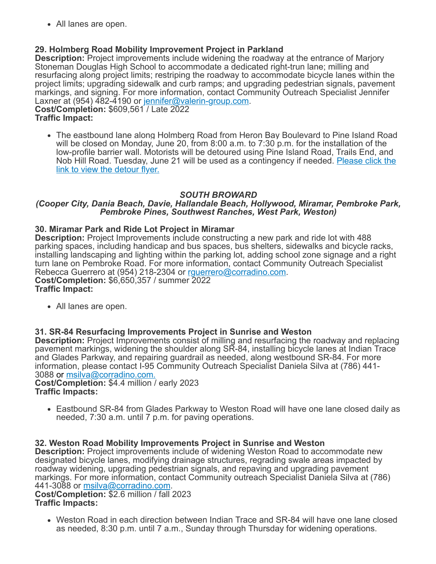All lanes are open.

### **29. Holmberg Road Mobility Improvement Project in Parkland**

**Description:** Project improvements include widening the roadway at the entrance of Marjory Stoneman Douglas High School to accommodate a dedicated right-trun lane; milling and resurfacing along project limits; restriping the roadway to accommodate bicycle lanes within the project limits; upgrading sidewalk and curb ramps; and upgrading pedestrian signals, pavement markings, and signing. For more information, contact Community Outreach Specialist Jennifer Laxner at (954) 482-4190 or [jennifer@valerin-group.com](mailto:jennifer@valerin-group.com).

**Cost/Completion:** \$609,561 / Late 2022 **Traffic Impact:**

The eastbound lane along Holmberg Road from Heron Bay Boulevard to Pine Island Road will be closed on Monday, June 20, from 8:00 a.m. to 7:30 p.m. for the installation of the low-profile barrier wall. Motorists will be detoured using Pine Island Road, Trails End, and [Nob Hill Road. Tuesday, June 21 will be used as a contingency if needed.](https://r20.rs6.net/tn.jsp?f=001bfD7zu9LpUr_Yn-zFyF1rIFPwB7lqnA9RfkCvcuqAFoNuNgFy-anW6Rq7MNsWD1kwO7ttIXza_YGGfbixb_E-TFbNPlra6pLZHsLzm7ty3Nn5ftb7cVzOdb2AhEC_JyQJE_Ovd3rm9n-N5K6A3gPGT9swnYTlGAICRPf7coCh8bhVCjPSBlv55bPZTmaH60zUmnlx2a2B2Rrr3fjZbbFDYPyEc6_3ab_6Zylst-WcnEyrj82ZrG9Wg==&c=QgcsTQUDFxM7LlyCN2SuwRU6kJlRi991osgY--DlX4-lFUaE8XUGKA==&ch=OQBg82dIizptpMCPIKzHvsYmbVKpANIBNFNm16CSxLO3l6fLjuOQFA==) Please click the link to view the detour flyer.

### *SOUTH BROWARD*

#### *(Cooper City, Dania Beach, Davie, Hallandale Beach, Hollywood, Miramar, Pembroke Park, Pembroke Pines, Southwest Ranches, West Park, Weston)*

#### **30. Miramar Park and Ride Lot Project in Miramar**

**Description:** Project Improvements include constructing a new park and ride lot with 488 parking spaces, including handicap and bus spaces, bus shelters, sidewalks and bicycle racks, installing landscaping and lighting within the parking lot, adding school zone signage and a right turn lane on Pembroke Road. For more information, contact Community Outreach Specialist Rebecca Guerrero at (954) 218-2304 or rquerrero@corradino.com. **Cost/Completion:** \$6,650,357 / summer 2022 **Traffic Impact:**

All lanes are open.

#### **31. SR-84 Resurfacing Improvements Project in Sunrise and Weston**

**Description:** Project Improvements consist of milling and resurfacing the roadway and replacing pavement markings, widening the shoulder along SR-84, installing bicycle lanes at Indian Trace and Glades Parkway, and repairing guardrail as needed, along westbound SR-84. For more information, please contact I-95 Community Outreach Specialist Daniela Silva at (786) 441- 3088 or [msilva@corradino.com.](mailto:msilva@corradino.com.)

**Cost/Completion:** \$4.4 million / early 2023 **Traffic Impacts:**

Eastbound SR-84 from Glades Parkway to Weston Road will have one lane closed daily as needed, 7:30 a.m. until 7 p.m. for paving operations.

**32. Weston Road Mobility Improvements Project in Sunrise and Weston Description:** Project improvements include of widening Weston Road to accommodate new designated bicycle lanes, modifying drainage structures, regrading swale areas impacted by roadway widening, upgrading pedestrian signals, and repaving and upgrading pavement markings. For more information, contact Community outreach Specialist Daniela Silva at (786) 441-3088 or [msilva@corradino.com.](mailto:msilva@corradino.com)

**Cost/Completion:** \$2.6 million / fall 2023 **Traffic Impacts:**

Weston Road in each direction between Indian Trace and SR-84 will have one lane closed as needed, 8:30 p.m. until 7 a.m., Sunday through Thursday for widening operations.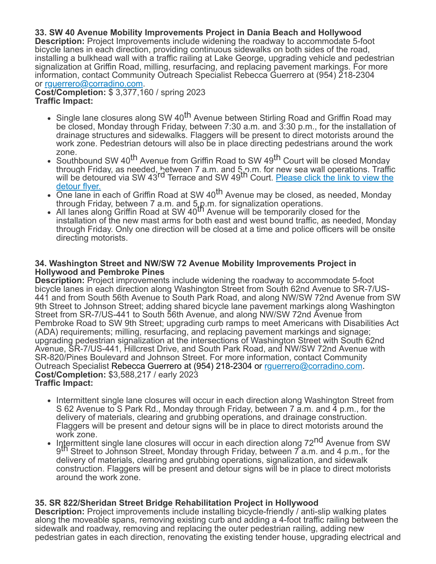### **33. SW 40 Avenue Mobility Improvements Project in Dania Beach and Hollywood**

**Description:** Project Improvements include widening the roadway to accommodate 5-foot bicycle lanes in each direction, providing continuous sidewalks on both sides of the road, installing a bulkhead wall with a traffic railing at Lake George, upgrading vehicle and pedestrian signalization at Griffin Road, milling, resurfacing, and replacing pavement markings. For more information, contact Community Outreach Specialist Rebecca Guerrero at (954) 218-2304 or [rguerrero@corradino.com.](mailto:rguerrero@corradino.com)

**Cost/Completion:** \$ 3,377,160 / spring 2023 **Traffic Impact:**

- Single lane closures along SW 40<sup>th</sup> Avenue between Stirling Road and Griffin Road may be closed, Monday through Friday, between 7:30 a.m. and 3:30 p.m., for the installation of drainage structures and sidewalks. Flaggers will be present to direct motorists around the work zone. Pedestrian detours will also be in place directing pedestrians around the work zone.
- Southbound SW 40<sup>th</sup> Avenue from Griffin Road to SW 49<sup>th</sup> Court will be closed Monday through Friday, as needed, hetween 7 a.m. and 5 p.m. for new sea wall operations. Traffic<br>will be detoured via SW 43<sup>rd</sup> Terrace and SW 49<sup>th</sup> Court. <u>[Please click the link to view the](https://r20.rs6.net/tn.jsp?f=001bfD7zu9LpUr_Yn-zFyF1rIFPwB7lqnA9RfkCvcuqAFoNuNgFy-anW6Rq7MNsWD1ksfEwCrnOctFO2ZudPFrjG0e-hahEp6grNT3HH90CmFcYklHEXBDrpTiZB7s1RQeATAYTEoZKUO6fFERbRGkebVOxKrQ2lFC8H5XxYjd-mSdqqbFChBReAwdZN3cC6tSPtBztgmk3-pGBtXCynCvd4R_IP2PPdqmKdBRPukk2LbkB_7ocsdKVKw==&c=QgcsTQUDFxM7LlyCN2SuwRU6kJlRi991osgY--DlX4-lFUaE8XUGKA==&ch=OQBg82dIizptpMCPIKzHvsYmbVKpANIBNFNm16CSxLO3l6fLjuOQFA==)</u> detour flyer.
- One lane in each of Griffin Road at SW 40<sup>th</sup> Avenue may be closed, as needed, Monday
- through Friday, between 7 a.m. and 5.p.m. for signalization operations.<br>All lanes along Griffin Road at SW 40<sup>th</sup> Avenue will be temporarily closed for the installation of the new mast arms for both east and west bound traffic, as needed, Monday through Friday. Only one direction will be closed at a time and police officers will be onsite directing motorists.

#### **34. Washington Street and NW/SW 72 Avenue Mobility Improvements Project in Hollywood and Pembroke Pines**

**Description:** Project improvements include widening the roadway to accommodate 5-foot bicycle lanes in each direction along Washington Street from South 62nd Avenue to SR-7/US-441 and from South 56th Avenue to South Park Road, and along NW/SW 72nd Avenue from SW 9th Street to Johnson Street; adding shared bicycle lane pavement markings along Washington Street from SR-7/US-441 to South 56th Avenue, and along NW/SW 72nd Avenue from Pembroke Road to SW 9th Street; upgrading curb ramps to meet Americans with Disabilities Act (ADA) requirements; milling, resurfacing, and replacing pavement markings and signage; upgrading pedestrian signalization at the intersections of Washington Street with South 62nd Avenue, SR-7/US-441, Hillcrest Drive, and South Park Road, and NW/SW 72nd Avenue with SR-820/Pines Boulevard and Johnson Street. For more information, contact Community Outreach Specialist Rebecca Guerrero at (954) 218-2304 or [rguerrero@corradino.com](mailto:rguerrero@corradino.com). **Cost/Completion:** \$3,588,217 / early 2023 **Traffic Impact:**

- Intermittent single lane closures will occur in each direction along Washington Street from S 62 Avenue to S Park Rd., Monday through Friday, between 7 a.m. and 4 p.m., for the delivery of materials, clearing and grubbing operations, and drainage construction. Flaggers will be present and detour signs will be in place to direct motorists around the work zone.
- Intermittent single lane closures will occur in each direction along 72<sup>nd</sup> Avenue from SW of the Street to Johnson Street, Monday through Friday, between 7 a.m. and 4 p.m., for the delivery of materials, clearing and grubbing operations, signalization, and sidewalk construction. Flaggers will be present and detour signs will be in place to direct motorists around the work zone.

#### **35. SR 822/Sheridan Street Bridge Rehabilitation Project in Hollywood**

**Description:** Project improvements include installing bicycle-friendly / anti-slip walking plates along the moveable spans, removing existing curb and adding a 4-foot traffic railing between the sidewalk and roadway, removing and replacing the outer pedestrian railing, adding new pedestrian gates in each direction, renovating the existing tender house, upgrading electrical and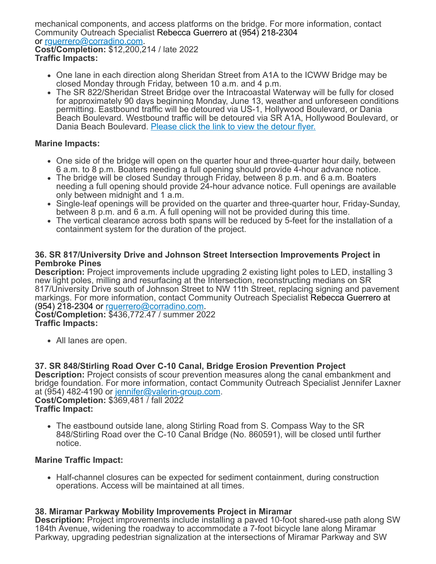mechanical components, and access platforms on the bridge. For more information, contact Community Outreach Specialist Rebecca Guerrero at (954) 218-2304 or [rguerrero@corradino.com.](mailto:rguerrero@corradino.com) **Cost/Completion:** \$12,200,214 / late 2022 **Traffic Impacts:**

- One lane in each direction along Sheridan Street from A1A to the ICWW Bridge may be closed Monday through Friday, between 10 a.m. and 4 p.m.
- The SR 822/Sheridan Street Bridge over the Intracoastal Waterway will be fully for closed for approximately 90 days beginning Monday, June 13, weather and unforeseen conditions permitting. Eastbound traffic will be detoured via US-1, Hollywood Boulevard, or Dania Beach Boulevard. Westbound traffic will be detoured via SR A1A, Hollywood Boulevard, or Dania Beach Boulevard. [Please click the link to view the detour flyer.](https://r20.rs6.net/tn.jsp?f=001bfD7zu9LpUr_Yn-zFyF1rIFPwB7lqnA9RfkCvcuqAFoNuNgFy-anW6Rq7MNsWD1k_XBEy2l1GoCTgbT2-M_jebytxHFhpt2ZSeE1Gm77N4Z3eL-Sm4iuz-jco9lKtvAndWQZIO9sj65cF72nZtPRah5kAX2IX9OZKzBv30D2F80nOVaL51L3MOeDKgbASUrAoVueZbhYp9CTdva2qEYF78NAsJELmcbsulL9_IOV0SKRkp0Pee10wA==&c=QgcsTQUDFxM7LlyCN2SuwRU6kJlRi991osgY--DlX4-lFUaE8XUGKA==&ch=OQBg82dIizptpMCPIKzHvsYmbVKpANIBNFNm16CSxLO3l6fLjuOQFA==)

#### **Marine Impacts:**

- One side of the bridge will open on the quarter hour and three-quarter hour daily, between 6 a.m. to 8 p.m. Boaters needing a full opening should provide 4-hour advance notice.
- The bridge will be closed Sunday through Friday, between 8 p.m. and 6 a.m. Boaters needing a full opening should provide 24-hour advance notice. Full openings are available only between midnight and 1 a.m.
- Single-leaf openings will be provided on the quarter and three-quarter hour, Friday-Sunday, between 8 p.m. and 6 a.m. A full opening will not be provided during this time.
- The vertical clearance across both spans will be reduced by 5-feet for the installation of a containment system for the duration of the project.

#### **36. SR 817/University Drive and Johnson Street Intersection Improvements Project in Pembroke Pines**

**Description:** Project improvements include upgrading 2 existing light poles to LED, installing 3 new light poles, milling and resurfacing at the Intersection, reconstructing medians on SR 817/University Drive south of Johnson Street to NW 11th Street, replacing signing and pavement markings. For more information, contact Community Outreach Specialist Rebecca Guerrero at (954) 218-2304 or [rguerrero@corradino.com](mailto:rguerrero@corradino.com).

**Cost/Completion:** \$436,772.47 / summer 2022 **Traffic Impacts:**

All lanes are open.

### **37. SR 848/Stirling Road Over C-10 Canal, Bridge Erosion Prevention Project**

**Description:** Project consists of scour prevention measures along the canal embankment and bridge foundation. For more information, contact Community Outreach Specialist Jennifer Laxner at (954) 482-4190 or [jennifer@valerin-group.com.](mailto:jennifer@valerin-group.com) **Cost/Completion:** \$369,481 / fall 2022

**Traffic Impact:**

The eastbound outside lane, along Stirling Road from S. Compass Way to the SR 848/Stirling Road over the C-10 Canal Bridge (No. 860591), will be closed until further notice.

#### **Marine Traffic Impact:**

• Half-channel closures can be expected for sediment containment, during construction operations. Access will be maintained at all times.

### **38. Miramar Parkway Mobility Improvements Project in Miramar**

**Description:** Project improvements include installing a paved 10-foot shared-use path along SW 184th Avenue, widening the roadway to accommodate a 7-foot bicycle lane along Miramar Parkway, upgrading pedestrian signalization at the intersections of Miramar Parkway and SW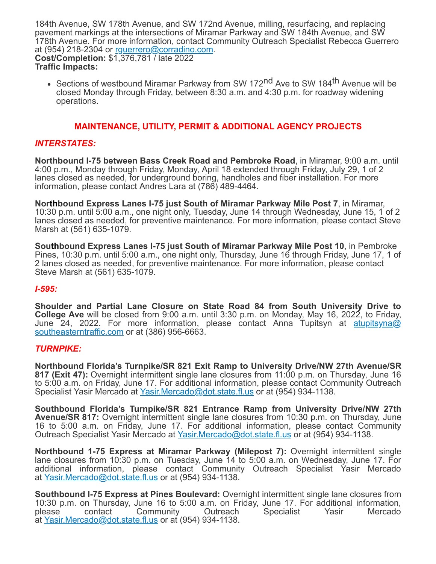184th Avenue, SW 178th Avenue, and SW 172nd Avenue, milling, resurfacing, and replacing pavement markings at the intersections of Miramar Parkway and SW 184th Avenue, and SW 178th Avenue. For more information, contact Community Outreach Specialist Rebecca Guerrero at (954) 218-2304 or [rguerrero@corradino.com.](mailto:rguerrero@corradino.com) **Cost/Completion:** \$1,376,781 / late 2022 **Traffic Impacts:**

• Sections of westbound Miramar Parkway from SW 172<sup>nd</sup> Ave to SW 184<sup>th</sup> Avenue will be closed Monday through Friday, between 8:30 a.m. and 4:30 p.m. for roadway widening operations.

#### **MAINTENANCE, UTILITY, PERMIT & ADDITIONAL AGENCY PROJECTS**

#### *INTERSTATES:*

**Northbound I-75 between Bass Creek Road and Pembroke Road**, in Miramar, 9:00 a.m. until 4:00 p.m., Monday through Friday, Monday, April 18 extended through Friday, July 29, 1 of 2 lanes closed as needed, for underground boring, handholes and fiber installation. For more information, please contact Andres Lara at (786) 489-4464.

**Northbound Express Lanes I-75 just South of Miramar Parkway Mile Post 7**, in Miramar, 10:30 p.m. until 5:00 a.m., one night only, Tuesday, June 14 through Wednesday, June 15, 1 of 2 lanes closed as needed, for preventive maintenance. For more information, please contact Steve Marsh at (561) 635-1079.

**Southbound Express Lanes I-75 just South of Miramar Parkway Mile Post 10**, in Pembroke Pines, 10:30 p.m. until 5:00 a.m., one night only, Thursday, June 16 through Friday, June 17, 1 of 2 lanes closed as needed, for preventive maintenance. For more information, please contact Steve Marsh at (561) 635-1079.

#### *I-595:*

**Shoulder and Partial Lane Closure on State Road 84 from South University Drive to College Ave** will be closed from 9:00 a.m. until 3:30 p.m. on Monday, May 16, 2022, to Friday, [June 24, 2022. For more information, please contact Anna Tupitsyn at](mailto:atupitsyna@southeasterntraffic.com) atupitsyna@ southeasterntraffic.com or at (386) 956-6663.

#### *TURNPIKE:*

**Northbound Florida's Turnpike/SR 821 Exit Ramp to University Drive/NW 27th Avenue/SR 817 (Exit 47):** Overnight intermittent single lane closures from 11:00 p.m. on Thursday, June 16 to 5:00 a.m. on Friday, June 17. For additional information, please contact Community Outreach Specialist Yasir Mercado at [Yasir.Mercado@dot.state.fl.us](mailto:Yasir.Mercado@dot.state.fl.us) or at (954) 934-1138.

**Southbound Florida's Turnpike/SR 821 Entrance Ramp from University Drive/NW 27th Avenue/SR 817:** Overnight intermittent single lane closures from 10:30 p.m. on Thursday, June 16 to 5:00 a.m. on Friday, June 17. For additional information, please contact Community Outreach Specialist Yasir Mercado at [Yasir.Mercado@dot.state.fl.us](mailto:Yasir.Mercado@dot.state.fl.us) or at (954) 934-1138.

**Northbound 1-75 Express at Miramar Parkway (Milepost 7):** Overnight intermittent single lane closures from 10:30 p.m. on Tuesday, June 14 to 5:00 a.m. on Wednesday, June 17. For additional information, please contact Community Outreach Specialist Yasir Mercado at [Yasir.Mercado@dot.state.fl.us](mailto:Yasir.Mercado@dot.state.fl.us) or at (954) 934-1138.

**Southbound I-75 Express at Pines Boulevard:** Overnight intermittent single lane closures from 10:30 p.m. on Thursday, June 16 to 5:00 a.m. on Friday, June 17. For additional information, please contact Community Outreach Specialist Yasir Mercado please contact Community Outreach Specialist Yasir Mercado at [Yasir.Mercado@dot.state.fl.us](mailto:Yasir.Mercado@dot.state.fl.us) or at (954) 934-1138.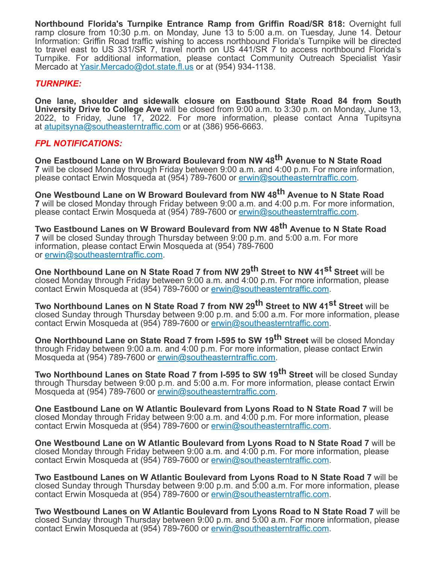**Northbound Florida's Turnpike Entrance Ramp from Griffin Road/SR 818:** Overnight full ramp closure from 10:30 p.m. on Monday, June 13 to 5:00 a.m. on Tuesday, June 14. Detour Information: Griffin Road traffic wishing to access northbound Florida's Turnpike will be directed to travel east to US 331/SR 7, travel north on US 441/SR 7 to access northbound Florida's Turnpike. For additional information, please contact Community Outreach Specialist Yasir Mercado at [Yasir.Mercado@dot.state.fl.us](mailto:Yasir.Mercado@dot.state.fl.us) or at (954) 934-1138.

#### *TURNPIKE:*

**One lane, shoulder and sidewalk closure on Eastbound State Road 84 from South University Drive to College Ave** will be closed from 9:00 a.m. to 3:30 p.m. on Monday, June 13, 2022, to Friday, June 17, 2022. For more information, please contact Anna Tupitsyna at [atupitsyna@southeasterntraffic.com](mailto:atupitsyna@southeasterntraffic.com) or at (386) 956-6663.

### *FPL NOTIFICATIONS:*

**One Eastbound Lane on W Broward Boulevard from NW 48th Avenue to N State Road 7** will be closed Monday through Friday between 9:00 a.m. and 4:00 p.m. For more information, please contact Erwin Mosqueda at (954) 789-7600 or [erwin@southeasterntraffic.com.](mailto:erwin@southeasterntraffic.com)

**One Westbound Lane on W Broward Boulevard from NW 48th Avenue to N State Road 7** will be closed Monday through Friday between 9:00 a.m. and 4:00 p.m. For more information, please contact Erwin Mosqueda at (954) 789-7600 or [erwin@southeasterntraffic.com.](mailto:erwin@southeasterntraffic.com)

**Two Eastbound Lanes on W Broward Boulevard from NW 48th Avenue to N State Road 7** will be closed Sunday through Thursday between 9:00 p.m. and 5:00 a.m. For more information, please contact Erwin Mosqueda at (954) 789-7600 or [erwin@southeasterntraffic.com](mailto:erwin@southeasterntraffic.com).

**One Northbound Lane on N State Road 7 from NW 29th Street to NW 41st Street** will be closed Monday through Friday between 9:00 a.m. and 4:00 p.m. For more information, please contact Erwin Mosqueda at (954) 789-7600 or [erwin@southeasterntraffic.com](mailto:erwin@southeasterntraffic.com).

**Two Northbound Lanes on N State Road 7 from NW 29th Street to NW 41st Street** will be closed Sunday through Thursday between 9:00 p.m. and 5:00 a.m. For more information, please contact Erwin Mosqueda at (954) 789-7600 or [erwin@southeasterntraffic.com](mailto:erwin@southeasterntraffic.com).

**One Northbound Lane on State Road 7 from I-595 to SW 19th Street** will be closed Monday through Friday between 9:00 a.m. and 4:00 p.m. For more information, please contact Erwin Mosqueda at (954) 789-7600 or [erwin@southeasterntraffic.com.](mailto:erwin@southeasterntraffic.com)

**Two Northbound Lanes on State Road 7 from I-595 to SW 19th Street** will be closed Sunday through Thursday between 9:00 p.m. and 5:00 a.m. For more information, please contact Erwin Mosqueda at (954) 789-7600 or [erwin@southeasterntraffic.com.](mailto:erwin@southeasterntraffic.com)

**One Eastbound Lane on W Atlantic Boulevard from Lyons Road to N State Road 7** will be closed Monday through Friday between 9:00 a.m. and 4:00 p.m. For more information, please contact Erwin Mosqueda at (954) 789-7600 or [erwin@southeasterntraffic.com](mailto:erwin@southeasterntraffic.com).

**One Westbound Lane on W Atlantic Boulevard from Lyons Road to N State Road 7** will be closed Monday through Friday between 9:00 a.m. and 4:00 p.m. For more information, please contact Erwin Mosqueda at (954) 789-7600 or [erwin@southeasterntraffic.com](mailto:erwin@southeasterntraffic.com).

**Two Eastbound Lanes on W Atlantic Boulevard from Lyons Road to N State Road 7** will be closed Sunday through Thursday between 9:00 p.m. and 5:00 a.m. For more information, please contact Erwin Mosqueda at (954) 789-7600 or [erwin@southeasterntraffic.com](mailto:erwin@southeasterntraffic.com).

**Two Westbound Lanes on W Atlantic Boulevard from Lyons Road to N State Road 7** will be closed Sunday through Thursday between 9:00 p.m. and 5:00 a.m. For more information, please contact Erwin Mosqueda at (954) 789-7600 or [erwin@southeasterntraffic.com](mailto:erwin@southeasterntraffic.com).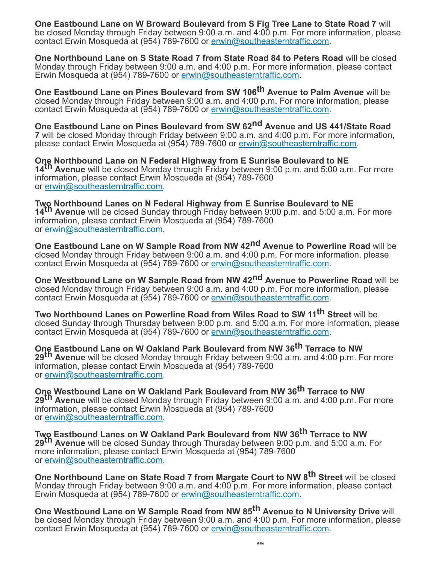**One Eastbound Lane on W Broward Boulevard from S Fig Tree Lane to State Road 7** will be closed Monday through Friday between 9:00 a.m. and  $4:0\overline{0}$  p.m. For more information, please contact Erwin Mosqueda at (954) 789-7600 or [erwin@southeasterntraffic.com](mailto:erwin@southeasterntraffic.com).

**One Northbound Lane on S State Road 7 from State Road 84 to Peters Road** will be closed Monday through Friday between 9:00 a.m. and 4:00 p.m. For more information, please contact Erwin Mosqueda at (954) 789-7600 or [erwin@southeasterntraffic.com](mailto:erwin@southeasterntraffic.com).

**One Eastbound Lane on Pines Boulevard from SW 106th Avenue to Palm Avenue** will be closed Monday through Friday between 9:00 a.m. and 4:00 p.m. For more information, please contact Erwin Mosqueda at (954) 789-7600 or [erwin@southeasterntraffic.com](mailto:erwin@southeasterntraffic.com).

**One Eastbound Lane on Pines Boulevard from SW 62nd Avenue and US 441/State Road 7** will be closed Monday through Friday between 9:00 a.m. and 4:00 p.m. For more information, please contact Erwin Mosqueda at (954) 789-7600 or [erwin@southeasterntraffic.com.](mailto:erwin@southeasterntraffic.com)

**One Northbound Lane on N Federal Highway from E Sunrise Boulevard to NE 14th Avenue** will be closed Monday through Friday between 9:00 p.m. and 5:00 a.m. For more information, please contact Erwin Mosqueda at (954) 789-7600 or [erwin@southeasterntraffic.com](mailto:erwin@southeasterntraffic.com).

**Two Northbound Lanes on N Federal Highway from E Sunrise Boulevard to NE 14th Avenue** will be closed Sunday through Friday between 9:00 p.m. and 5:00 a.m. For more information, please contact Erwin Mosqueda at (954) 789-7600 or [erwin@southeasterntraffic.com](mailto:erwin@southeasterntraffic.com).

**One Eastbound Lane on W Sample Road from NW 42nd Avenue to Powerline Road** will be closed Monday through Friday between 9:00 a.m. and 4:00 p.m. For more information, please contact Erwin Mosqueda at (954) 789-7600 or [erwin@southeasterntraffic.com](mailto:erwin@southeasterntraffic.com).

**One Westbound Lane on W Sample Road from NW 42nd Avenue to Powerline Road** will be closed Monday through Friday between 9:00 a.m. and 4:00 p.m. For more information, please contact Erwin Mosqueda at (954) 789-7600 or [erwin@southeasterntraffic.com](mailto:erwin@southeasterntraffic.com).

**Two Northbound Lanes on Powerline Road from Wiles Road to SW 11 th Street** will be closed Sunday through Thursday between 9:00 p.m. and 5:00 a.m. For more information, please contact Erwin Mosqueda at (954) 789-7600 or [erwin@southeasterntraffic.com](mailto:erwin@southeasterntraffic.com).

**One Eastbound Lane on W Oakland Park Boulevard from NW 36th Terrace to NW 29th Avenue** will be closed Monday through Friday between 9:00 a.m. and 4:00 p.m. For more information, please contact Erwin Mosqueda at (954) 789-7600 or [erwin@southeasterntraffic.com](mailto:erwin@southeasterntraffic.com).

**One Westbound Lane on W Oakland Park Boulevard from NW 36th Terrace to NW 29th Avenue** will be closed Monday through Friday between 9:00 a.m. and 4:00 p.m. For more information, please contact Erwin Mosqueda at (954) 789-7600 or [erwin@southeasterntraffic.com](mailto:erwin@southeasterntraffic.com).

**Two Eastbound Lanes on W Oakland Park Boulevard from NW 36th Terrace to NW 29th Avenue** will be closed Sunday through Thursday between 9:00 p.m. and 5:00 a.m. For more information, please contact Erwin Mosqueda at (954) 789-7600 or [erwin@southeasterntraffic.com](mailto:erwin@southeasterntraffic.com).

**One Northbound Lane on State Road 7 from Margate Court to NW 8th Street** will be closed Monday through Friday between 9:00 a.m. and 4:00 p.m. For more information, please contact Erwin Mosqueda at (954) 789-7600 or [erwin@southeasterntraffic.com](mailto:erwin@southeasterntraffic.com).

**One Westbound Lane on W Sample Road from NW 85th Avenue to N University Drive** will be closed Monday through Friday between 9:00 a.m. and 4:00 p.m. For more information, please contact Erwin Mosqueda at (954) 789-7600 or [erwin@southeasterntraffic.com](mailto:erwin@southeasterntraffic.com).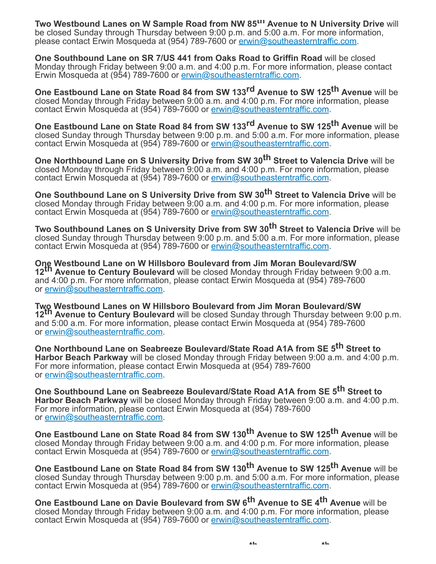**Two Westbound Lanes on W Sample Road from NW 85th Avenue to N University Drive** will be closed Sunday through Thursday between 9:00 p.m. and 5:00 a.m. For more information, please contact Erwin Mosqueda at (954) 789-7600 or [erwin@southeasterntraffic.com.](mailto:erwin@southeasterntraffic.com)

**One Southbound Lane on SR 7/US 441 from Oaks Road to Griffin Road** will be closed Monday through Friday between 9:00 a.m. and 4:00 p.m. For more information, please contact Erwin Mosqueda at (954) 789-7600 or [erwin@southeasterntraffic.com](mailto:erwin@southeasterntraffic.com).

**One Eastbound Lane on State Road 84 from SW 133rd Avenue to SW 125th Avenue** will be closed Monday through Friday between 9:00 a.m. and 4:00 p.m. For more information, please contact Erwin Mosqueda at (954) 789-7600 or [erwin@southeasterntraffic.com](mailto:erwin@southeasterntraffic.com).

**One Eastbound Lane on State Road 84 from SW 133rd Avenue to SW 125th Avenue** will be closed Sunday through Thursday between 9:00 p.m. and 5:00 a.m. For more information, please contact Erwin Mosqueda at (954) 789-7600 or [erwin@southeasterntraffic.com](mailto:erwin@southeasterntraffic.com).

**One Northbound Lane on S University Drive from SW 30th Street to Valencia Drive** will be closed Monday through Friday between 9:00 a.m. and 4:00 p.m. For more information, please contact Erwin Mosqueda at (954) 789-7600 or [erwin@southeasterntraffic.com](mailto:erwin@southeasterntraffic.com).

**One Southbound Lane on S University Drive from SW 30th Street to Valencia Drive** will be closed Monday through Friday between 9:00 a.m. and 4:00 p.m. For more information, please contact Erwin Mosqueda at (954) 789-7600 or [erwin@southeasterntraffic.com](mailto:erwin@southeasterntraffic.com).

**Two Southbound Lanes on S University Drive from SW 30th Street to Valencia Drive** will be closed Sunday through Thursday between 9:00 p.m. and 5:00 a.m. For more information, please contact Erwin Mosqueda at (954) 789-7600 or [erwin@southeasterntraffic.com](mailto:erwin@southeasterntraffic.com).

**One Westbound Lane on W Hillsboro Boulevard from Jim Moran Boulevard/SW 12th Avenue to Century Boulevard** will be closed Monday through Friday between 9:00 a.m. and 4:00 p.m. For more information, please contact Erwin Mosqueda at (954) 789-7600 or [erwin@southeasterntraffic.com](mailto:erwin@southeasterntraffic.com).

**Two Westbound Lanes on W Hillsboro Boulevard from Jim Moran Boulevard/SW 12th Avenue to Century Boulevard** will be closed Sunday through Thursday between 9:00 p.m. and 5:00 a.m. For more information, please contact Erwin Mosqueda at (954) 789-7600 or [erwin@southeasterntraffic.com](mailto:erwin@southeasterntraffic.com).

**One Northbound Lane on Seabreeze Boulevard/State Road A1A from SE 5th Street to Harbor Beach Parkway** will be closed Monday through Friday between 9:00 a.m. and 4:00 p.m. For more information, please contact Erwin Mosqueda at (954) 789-7600 or [erwin@southeasterntraffic.com](mailto:erwin@southeasterntraffic.com).

**One Southbound Lane on Seabreeze Boulevard/State Road A1A from SE 5th Street to Harbor Beach Parkway** will be closed Monday through Friday between 9:00 a.m. and 4:00 p.m. For more information, please contact Erwin Mosqueda at (954) 789-7600 or [erwin@southeasterntraffic.com](mailto:erwin@southeasterntraffic.com).

**One Eastbound Lane on State Road 84 from SW 130th Avenue to SW 125th Avenue** will be closed Monday through Friday between 9:00 a.m. and 4:00 p.m. For more information, please contact Erwin Mosqueda at (954) 789-7600 or [erwin@southeasterntraffic.com](mailto:erwin@southeasterntraffic.com).

**One Eastbound Lane on State Road 84 from SW 130th Avenue to SW 125th Avenue** will be closed Sunday through Thursday between 9:00 p.m. and 5:00 a.m. For more information, please contact Erwin Mosqueda at (954) 789-7600 or [erwin@southeasterntraffic.com](mailto:erwin@southeasterntraffic.com).

**One Eastbound Lane on Davie Boulevard from SW 6th Avenue to SE 4th Avenue** will be closed Monday through Friday between 9:00 a.m. and 4:00 p.m. For more information, please contact Erwin Mosqueda at (954) 789-7600 or [erwin@southeasterntraffic.com](mailto:erwin@southeasterntraffic.com).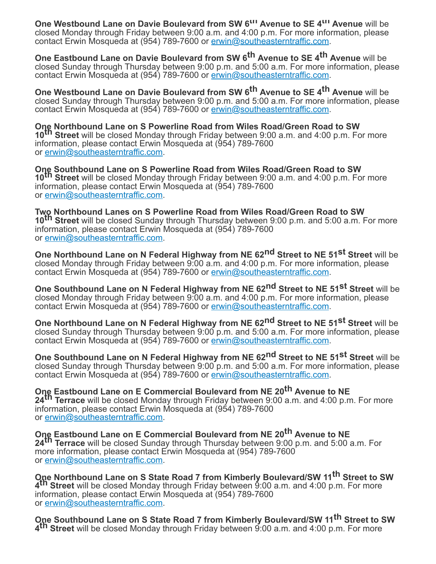**One Westbound Lane on Davie Boulevard from SW 6th Avenue to SE 4th Avenue** will be closed Monday through Friday between 9:00 a.m. and 4:00 p.m. For more information, please contact Erwin Mosqueda at (954) 789-7600 or [erwin@southeasterntraffic.com](mailto:erwin@southeasterntraffic.com).

**One Eastbound Lane on Davie Boulevard from SW 6th Avenue to SE 4th Avenue** will be closed Sunday through Thursday between 9:00 p.m. and 5:00 a.m. For more information, please contact Erwin Mosqueda at (954) 789-7600 or [erwin@southeasterntraffic.com](mailto:erwin@southeasterntraffic.com).

**One Westbound Lane on Davie Boulevard from SW 6th Avenue to SE 4th Avenue** will be closed Sunday through Thursday between 9:00 p.m. and 5:00 a.m. For more information, please contact Erwin Mosqueda at (954) 789-7600 or [erwin@southeasterntraffic.com](mailto:erwin@southeasterntraffic.com).

**One Northbound Lane on S Powerline Road from Wiles Road/Green Road to SW 10th Street** will be closed Monday through Friday between 9:00 a.m. and 4:00 p.m. For more information, please contact Erwin Mosqueda at (954) 789-7600 or [erwin@southeasterntraffic.com](mailto:erwin@southeasterntraffic.com).

**One Southbound Lane on S Powerline Road from Wiles Road/Green Road to SW 10th Street** will be closed Monday through Friday between 9:00 a.m. and 4:00 p.m. For more information, please contact Erwin Mosqueda at (954) 789-7600 or [erwin@southeasterntraffic.com](mailto:erwin@southeasterntraffic.com).

**Two Northbound Lanes on S Powerline Road from Wiles Road/Green Road to SW 10th Street** will be closed Sunday through Thursday between 9:00 p.m. and 5:00 a.m. For more information, please contact Erwin Mosqueda at (954) 789-7600 or [erwin@southeasterntraffic.com](mailto:erwin@southeasterntraffic.com).

**One Northbound Lane on N Federal Highway from NE 62nd Street to NE 51st Street** will be closed Monday through Friday between 9:00 a.m. and 4:00 p.m. For more information, please contact Erwin Mosqueda at (954) 789-7600 or [erwin@southeasterntraffic.com](mailto:erwin@southeasterntraffic.com).

**One Southbound Lane on N Federal Highway from NE 62nd Street to NE 51st Street** will be closed Monday through Friday between 9:00 a.m. and 4:00 p.m. For more information, please contact Erwin Mosqueda at (954) 789-7600 or [erwin@southeasterntraffic.com](mailto:erwin@southeasterntraffic.com).

**One Northbound Lane on N Federal Highway from NE 62nd Street to NE 51st Street** will be closed Sunday through Thursday between 9:00 p.m. and 5:00 a.m. For more information, please contact Erwin Mosqueda at (954) 789-7600 or [erwin@southeasterntraffic.com](mailto:erwin@southeasterntraffic.com).

**One Southbound Lane on N Federal Highway from NE 62nd Street to NE 51st Street** will be closed Sunday through Thursday between 9:00 p.m. and 5:00 a.m. For more information, please contact Erwin Mosqueda at (954) 789-7600 or [erwin@southeasterntraffic.com](mailto:erwin@southeasterntraffic.com).

**One Eastbound Lane on E Commercial Boulevard from NE 20th Avenue to NE 24th Terrace** will be closed Monday through Friday between 9:00 a.m. and 4:00 p.m. For more information, please contact Erwin Mosqueda at (954) 789-7600 or [erwin@southeasterntraffic.com](mailto:erwin@southeasterntraffic.com).

**One Eastbound Lane on E Commercial Boulevard from NE 20th Avenue to NE 24th Terrace** will be closed Sunday through Thursday between 9:00 p.m. and 5:00 a.m. For more information, please contact Erwin Mosqueda at (954) 789-7600 or [erwin@southeasterntraffic.com](mailto:erwin@southeasterntraffic.com).

**One Northbound Lane on S State Road 7 from Kimberly Boulevard/SW 11 th Street to SW 4 th Street** will be closed Monday through Friday between 9:00 a.m. and 4:00 p.m. For more information, please contact Erwin Mosqueda at (954) 789-7600 or [erwin@southeasterntraffic.com](mailto:erwin@southeasterntraffic.com).

**One Southbound Lane on S State Road 7 from Kimberly Boulevard/SW 11 th Street to SW 4 th Street** will be closed Monday through Friday between 9:00 a.m. and 4:00 p.m. For more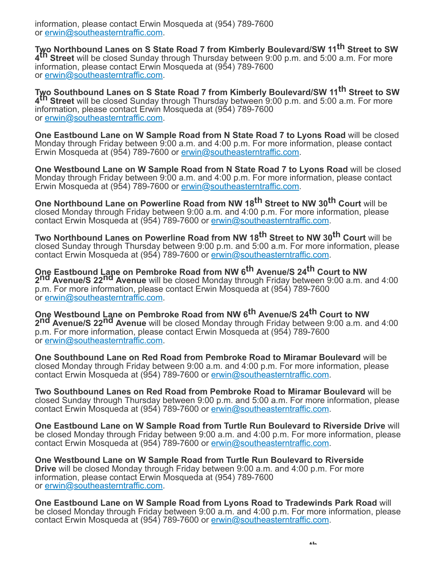information, please contact Erwin Mosqueda at (954) 789-7600 or [erwin@southeasterntraffic.com](mailto:erwin@southeasterntraffic.com).

**Two Northbound Lanes on S State Road 7 from Kimberly Boulevard/SW 11 th Street to SW 4 th Street** will be closed Sunday through Thursday between 9:00 p.m. and 5:00 a.m. For more information, please contact Erwin Mosqueda at (954) 789-7600 or [erwin@southeasterntraffic.com](mailto:erwin@southeasterntraffic.com).

**Two Southbound Lanes on S State Road 7 from Kimberly Boulevard/SW 11 th Street to SW 4 th Street** will be closed Sunday through Thursday between 9:00 p.m. and 5:00 a.m. For more information, please contact Erwin Mosqueda at (954) 789-7600 or [erwin@southeasterntraffic.com](mailto:erwin@southeasterntraffic.com).

**One Eastbound Lane on W Sample Road from N State Road 7 to Lyons Road** will be closed Monday through Friday between 9:00 a.m. and 4:00 p.m. For more information, please contact Erwin Mosqueda at (954) 789-7600 or [erwin@southeasterntraffic.com](mailto:erwin@southeasterntraffic.com).

**One Westbound Lane on W Sample Road from N State Road 7 to Lyons Road** will be closed Monday through Friday between 9:00 a.m. and 4:00 p.m. For more information, please contact Erwin Mosqueda at (954) 789-7600 or [erwin@southeasterntraffic.com](mailto:erwin@southeasterntraffic.com).

**One Northbound Lane on Powerline Road from NW 18th Street to NW 30th Court** will be closed Monday through Friday between 9:00 a.m. and 4:00 p.m. For more information, please contact Erwin Mosqueda at (954) 789-7600 or [erwin@southeasterntraffic.com](mailto:erwin@southeasterntraffic.com).

**Two Northbound Lanes on Powerline Road from NW 18th Street to NW 30th Court** will be closed Sunday through Thursday between 9:00 p.m. and 5:00 a.m. For more information, please contact Erwin Mosqueda at (954) 789-7600 or [erwin@southeasterntraffic.com](mailto:erwin@southeasterntraffic.com).

**One Eastbound Lane on Pembroke Road from NW 6th Avenue/S 24th Court to NW 2nd Avenue/S 22nd Avenue** will be closed Monday through Friday between 9:00 a.m. and 4:00 p.m. For more information, please contact Erwin Mosqueda at (954) 789-7600 or [erwin@southeasterntraffic.com](mailto:erwin@southeasterntraffic.com).

**One Westbound Lane on Pembroke Road from NW 6th Avenue/S 24th Court to NW 2nd Avenue/S 22nd Avenue** will be closed Monday through Friday between 9:00 a.m. and 4:00 p.m. For more information, please contact Erwin Mosqueda at (954) 789-7600 or [erwin@southeasterntraffic.com](mailto:erwin@southeasterntraffic.com).

**One Southbound Lane on Red Road from Pembroke Road to Miramar Boulevard** will be closed Monday through Friday between 9:00 a.m. and 4:00 p.m. For more information, please contact Erwin Mosqueda at (954) 789-7600 or [erwin@southeasterntraffic.com](mailto:erwin@southeasterntraffic.com).

**Two Southbound Lanes on Red Road from Pembroke Road to Miramar Boulevard** will be closed Sunday through Thursday between 9:00 p.m. and 5:00 a.m. For more information, please contact Erwin Mosqueda at (954) 789-7600 or [erwin@southeasterntraffic.com](mailto:erwin@southeasterntraffic.com).

**One Eastbound Lane on W Sample Road from Turtle Run Boulevard to Riverside Drive** will be closed Monday through Friday between 9:00 a.m. and 4:00 p.m. For more information, please contact Erwin Mosqueda at (954) 789-7600 or [erwin@southeasterntraffic.com](mailto:erwin@southeasterntraffic.com).

**One Westbound Lane on W Sample Road from Turtle Run Boulevard to Riverside Drive** will be closed Monday through Friday between 9:00 a.m. and 4:00 p.m. For more information, please contact Erwin Mosqueda at (954) 789-7600 or [erwin@southeasterntraffic.com](mailto:erwin@southeasterntraffic.com).

**One Eastbound Lane on W Sample Road from Lyons Road to Tradewinds Park Road** will be closed Monday through Friday between 9:00 a.m. and 4:00 p.m. For more information, please contact Erwin Mosqueda at (954) 789-7600 or [erwin@southeasterntraffic.com](mailto:erwin@southeasterntraffic.com).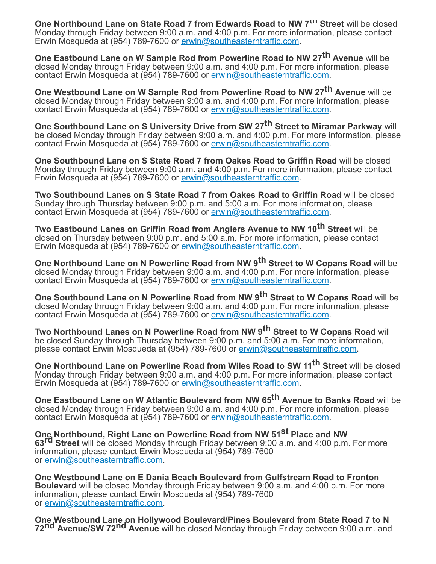**One Northbound Lane on State Road 7 from Edwards Road to NW 7th Street** will be closed Monday through Friday between 9:00 a.m. and 4:00 p.m. For more information, please contact Erwin Mosqueda at (954) 789-7600 or [erwin@southeasterntraffic.com](mailto:erwin@southeasterntraffic.com).

**One Eastbound Lane on W Sample Rod from Powerline Road to NW 27th Avenue** will be closed Monday through Friday between 9:00 a.m. and 4:00 p.m. For more information, please contact Erwin Mosqueda at (954) 789-7600 or [erwin@southeasterntraffic.com](mailto:erwin@southeasterntraffic.com).

**One Westbound Lane on W Sample Rod from Powerline Road to NW 27th Avenue** will be closed Monday through Friday between 9:00 a.m. and 4:00 p.m. For more information, please contact Erwin Mosqueda at (954) 789-7600 or [erwin@southeasterntraffic.com](mailto:erwin@southeasterntraffic.com).

**One Southbound Lane on S University Drive from SW 27th Street to Miramar Parkway** will be closed Monday through Friday between 9:00 a.m. and 4:00 p.m. For more information, please contact Erwin Mosqueda at (954) 789-7600 or [erwin@southeasterntraffic.com](mailto:erwin@southeasterntraffic.com).

**One Southbound Lane on S State Road 7 from Oakes Road to Griffin Road** will be closed Monday through Friday between 9:00 a.m. and 4:00 p.m. For more information, please contact Erwin Mosqueda at (954) 789-7600 or [erwin@southeasterntraffic.com](mailto:erwin@southeasterntraffic.com).

**Two Southbound Lanes on S State Road 7 from Oakes Road to Griffin Road** will be closed Sunday through Thursday between 9:00 p.m. and 5:00 a.m. For more information, please contact Erwin Mosqueda at (954) 789-7600 or [erwin@southeasterntraffic.com](mailto:erwin@southeasterntraffic.com).

**Two Eastbound Lanes on Griffin Road from Anglers Avenue to NW 10th Street** will be closed on Thursday between 9:00 p.m. and 5:00 a.m. For more information, please contact Erwin Mosqueda at (954) 789-7600 or [erwin@southeasterntraffic.com](mailto:erwin@southeasterntraffic.com).

**One Northbound Lane on N Powerline Road from NW 9th Street to W Copans Road** will be closed Monday through Friday between 9:00 a.m. and 4:00 p.m. For more information, please contact Erwin Mosqueda at (954) 789-7600 or [erwin@southeasterntraffic.com](mailto:erwin@southeasterntraffic.com).

**One Southbound Lane on N Powerline Road from NW 9th Street to W Copans Road** will be closed Monday through Friday between 9:00 a.m. and 4:00 p.m. For more information, please contact Erwin Mosqueda at (954) 789-7600 or [erwin@southeasterntraffic.com](mailto:erwin@southeasterntraffic.com).

**Two Northbound Lanes on N Powerline Road from NW 9th Street to W Copans Road** will be closed Sunday through Thursday between 9:00 p.m. and 5:00 a.m. For more information, please contact Erwin Mosqueda at (954) 789-7600 or [erwin@southeasterntraffic.com.](mailto:erwin@southeasterntraffic.com)

**One Northbound Lane on Powerline Road from Wiles Road to SW 11 th Street** will be closed Monday through Friday between 9:00 a.m. and 4:00 p.m. For more information, please contact Erwin Mosqueda at (954) 789-7600 or [erwin@southeasterntraffic.com](mailto:erwin@southeasterntraffic.com).

**One Eastbound Lane on W Atlantic Boulevard from NW 65th Avenue to Banks Road** will be closed Monday through Friday between 9:00 a.m. and 4:00 p.m. For more information, please contact Erwin Mosqueda at (954) 789-7600 or [erwin@southeasterntraffic.com](mailto:erwin@southeasterntraffic.com).

**One Northbound, Right Lane on Powerline Road from NW 51st Place and NW 63rd Street** will be closed Monday through Friday between 9:00 a.m. and 4:00 p.m. For more information, please contact Erwin Mosqueda at (954) 789-7600 or [erwin@southeasterntraffic.com](mailto:erwin@southeasterntraffic.com).

**One Westbound Lane on E Dania Beach Boulevard from Gulfstream Road to Fronton Boulevard** will be closed Monday through Friday between 9:00 a.m. and 4:00 p.m. For more information, please contact Erwin Mosqueda at (954) 789-7600 or [erwin@southeasterntraffic.com](mailto:erwin@southeasterntraffic.com).

**One Westbound Lane on Hollywood Boulevard/Pines Boulevard from State Road 7 to N 72nd Avenue/SW 72nd Avenue** will be closed Monday through Friday between 9:00 a.m. and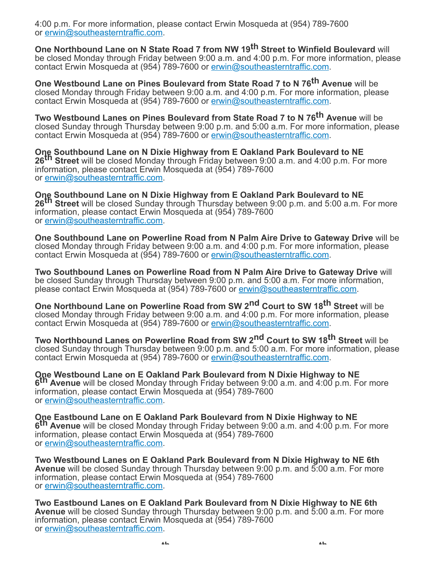4:00 p.m. For more information, please contact Erwin Mosqueda at (954) 789-7600 or [erwin@southeasterntraffic.com](mailto:erwin@southeasterntraffic.com).

**One Northbound Lane on N State Road 7 from NW 19th Street to Winfield Boulevard** will be closed Monday through Friday between 9:00 a.m. and 4:00 p.m. For more information, please contact Erwin Mosqueda at (954) 789-7600 or [erwin@southeasterntraffic.com](mailto:erwin@southeasterntraffic.com).

**One Westbound Lane on Pines Boulevard from State Road 7 to N 76th Avenue** will be closed Monday through Friday between 9:00 a.m. and 4:00 p.m. For more information, please contact Erwin Mosqueda at (954) 789-7600 or [erwin@southeasterntraffic.com](mailto:erwin@southeasterntraffic.com).

**Two Westbound Lanes on Pines Boulevard from State Road 7 to N 76th Avenue** will be closed Sunday through Thursday between 9:00 p.m. and 5:00 a.m. For more information, please contact Erwin Mosqueda at (954) 789-7600 or [erwin@southeasterntraffic.com](mailto:erwin@southeasterntraffic.com).

**One Southbound Lane on N Dixie Highway from E Oakland Park Boulevard to NE 26th Street** will be closed Monday through Friday between 9:00 a.m. and 4:00 p.m. For more information, please contact Erwin Mosqueda at (954) 789-7600 or [erwin@southeasterntraffic.com](mailto:erwin@southeasterntraffic.com).

**One Southbound Lane on N Dixie Highway from E Oakland Park Boulevard to NE 26th Street** will be closed Sunday through Thursday between 9:00 p.m. and 5:00 a.m. For more information, please contact Erwin Mosqueda at (954) 789-7600 or [erwin@southeasterntraffic.com](mailto:erwin@southeasterntraffic.com).

**One Southbound Lane on Powerline Road from N Palm Aire Drive to Gateway Drive** will be closed Monday through Friday between 9:00 a.m. and 4:00 p.m. For more information, please contact Erwin Mosqueda at (954) 789-7600 or [erwin@southeasterntraffic.com](mailto:erwin@southeasterntraffic.com).

**Two Southbound Lanes on Powerline Road from N Palm Aire Drive to Gateway Drive** will be closed Sunday through Thursday between 9:00 p.m. and 5:00 a.m. For more information, please contact Erwin Mosqueda at (954) 789-7600 or [erwin@southeasterntraffic.com.](mailto:erwin@southeasterntraffic.com)

**One Northbound Lane on Powerline Road from SW 2nd Court to SW 18th Street** will be closed Monday through Friday between 9:00 a.m. and 4:00 p.m. For more information, please contact Erwin Mosqueda at (954) 789-7600 or [erwin@southeasterntraffic.com](mailto:erwin@southeasterntraffic.com).

**Two Northbound Lanes on Powerline Road from SW 2nd Court to SW 18th Street** will be closed Sunday through Thursday between 9:00 p.m. and 5:00 a.m. For more information, please contact Erwin Mosqueda at (954) 789-7600 or [erwin@southeasterntraffic.com](mailto:erwin@southeasterntraffic.com).

**One Westbound Lane on E Oakland Park Boulevard from N Dixie Highway to NE 6 th Avenue** will be closed Monday through Friday between 9:00 a.m. and 4:00 p.m. For more information, please contact Erwin Mosqueda at (954) 789-7600 or [erwin@southeasterntraffic.com](mailto:erwin@southeasterntraffic.com).

**One Eastbound Lane on E Oakland Park Boulevard from N Dixie Highway to NE 6 th Avenue** will be closed Monday through Friday between 9:00 a.m. and 4:00 p.m. For more information, please contact Erwin Mosqueda at (954) 789-7600 or [erwin@southeasterntraffic.com](mailto:erwin@southeasterntraffic.com).

**Two Westbound Lanes on E Oakland Park Boulevard from N Dixie Highway to NE 6th Avenue** will be closed Sunday through Thursday between 9:00 p.m. and 5:00 a.m. For more information, please contact Erwin Mosqueda at (954) 789-7600 or [erwin@southeasterntraffic.com](mailto:erwin@southeasterntraffic.com).

**Two Eastbound Lanes on E Oakland Park Boulevard from N Dixie Highway to NE 6th Avenue** will be closed Sunday through Thursday between 9:00 p.m. and 5:00 a.m. For more information, please contact Erwin Mosqueda at (954) 789-7600 or [erwin@southeasterntraffic.com](mailto:erwin@southeasterntraffic.com).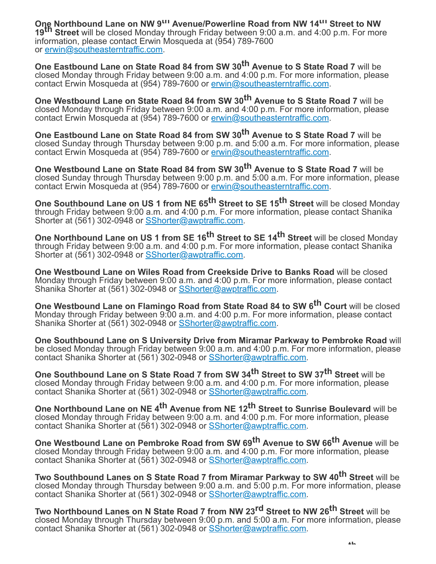**One Northbound Lane on NW 9th Avenue/Powerline Road from NW 14th Street to NW 19th Street** will be closed Monday through Friday between 9:00 a.m. and 4:00 p.m. For more information, please contact Erwin Mosqueda at (954) 789-7600 or [erwin@southeasterntraffic.com](mailto:erwin@southeasterntraffic.com).

**One Eastbound Lane on State Road 84 from SW 30th Avenue to S State Road 7** will be closed Monday through Friday between 9:00 a.m. and 4:00 p.m. For more information, please contact Erwin Mosqueda at (954) 789-7600 or [erwin@southeasterntraffic.com](mailto:erwin@southeasterntraffic.com).

**One Westbound Lane on State Road 84 from SW 30th Avenue to S State Road 7** will be closed Monday through Friday between 9:00 a.m. and 4:00 p.m. For more information, please contact Erwin Mosqueda at (954) 789-7600 or [erwin@southeasterntraffic.com](mailto:erwin@southeasterntraffic.com).

**One Eastbound Lane on State Road 84 from SW 30th Avenue to S State Road 7** will be closed Sunday through Thursday between 9:00 p.m. and 5:00 a.m. For more information, please contact Erwin Mosqueda at (954) 789-7600 or [erwin@southeasterntraffic.com](mailto:erwin@southeasterntraffic.com).

**One Westbound Lane on State Road 84 from SW 30th Avenue to S State Road 7** will be closed Sunday through Thursday between 9:00 p.m. and 5:00 a.m. For more information, please contact Erwin Mosqueda at (954) 789-7600 or [erwin@southeasterntraffic.com](mailto:erwin@southeasterntraffic.com).

**One Southbound Lane on US 1 from NE 65th Street to SE 15th Street** will be closed Monday through Friday between 9:00 a.m. and 4:00 p.m. For more information, please contact Shanika Shorter at (561) 302-0948 or [SShorter@awptraffic.com](mailto:SShorter@awptraffic.com).

**One Northbound Lane on US 1 from SE 16th Street to SE 14th Street** will be closed Monday through Friday between 9:00 a.m. and 4:00 p.m. For more information, please contact Shanika Shorter at (561) 302-0948 or [SShorter@awptraffic.com](mailto:SShorter@awptraffic.com).

**One Westbound Lane on Wiles Road from Creekside Drive to Banks Road** will be closed Monday through Friday between 9:00 a.m. and 4:00 p.m. For more information, please contact Shanika Shorter at (561) 302-0948 or [SShorter@awptraffic.com](mailto:SShorter@awptraffic.com).

**One Westbound Lane on Flamingo Road from State Road 84 to SW 6th Court** will be closed Monday through Friday between 9:00 a.m. and 4:00 p.m. For more information, please contact Shanika Shorter at (561) 302-0948 or [SShorter@awptraffic.com](mailto:SShorter@awptraffic.com).

**One Southbound Lane on S University Drive from Miramar Parkway to Pembroke Road** will be closed Monday through Friday between 9:00 a.m. and 4:00 p.m. For more information, please contact Shanika Shorter at (561) 302-0948 or [SShorter@awptraffic.com](mailto:SShorter@awptraffic.com).

**One Southbound Lane on S State Road 7 from SW 34th Street to SW 37th Street** will be closed Monday through Friday between 9:00 a.m. and 4:00 p.m. For more information, please contact Shanika Shorter at (561) 302-0948 or [SShorter@awptraffic.com](mailto:SShorter@awptraffic.com).

**One Northbound Lane on NE 4th Avenue from NE 12th Street to Sunrise Boulevard** will be closed Monday through Friday between 9:00 a.m. and 4:00 p.m. For more information, please contact Shanika Shorter at (561) 302-0948 or [SShorter@awptraffic.com](mailto:SShorter@awptraffic.com).

**One Westbound Lane on Pembroke Road from SW 69th Avenue to SW 66th Avenue** will be closed Monday through Friday between 9:00 a.m. and 4:00 p.m. For more information, please contact Shanika Shorter at (561) 302-0948 or [SShorter@awptraffic.com](mailto:SShorter@awptraffic.com).

**Two Southbound Lanes on S State Road 7 from Miramar Parkway to SW 40th Street** will be closed Monday through Thursday between 9:00 a.m. and 5:00 p.m. For more information, please contact Shanika Shorter at (561) 302-0948 or [SShorter@awptraffic.com](mailto:SShorter@awptraffic.com).

**Two Northbound Lanes on N State Road 7 from NW 23rd Street to NW 26th Street** will be closed Monday through Thursday between 9:00 p.m. and 5:00 a.m. For more information, please contact Shanika Shorter at (561) 302-0948 or [SShorter@awptraffic.com](mailto:SShorter@awptraffic.com).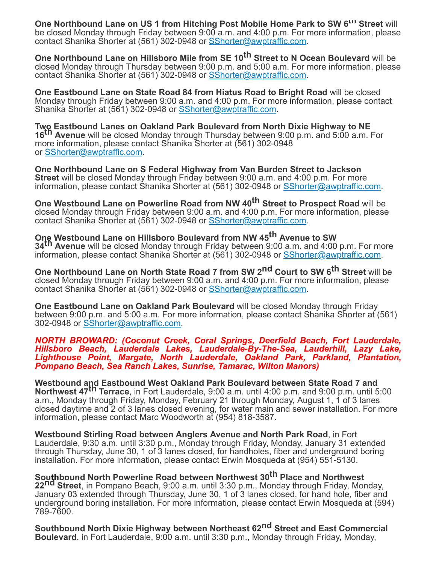**One Northbound Lane on US 1 from Hitching Post Mobile Home Park to SW 6th Street** will be closed Monday through Friday between 9:00 a.m. and 4:00 p.m. For more information, please contact Shanika Shorter at (561) 302-0948 or [SShorter@awptraffic.com](mailto:SShorter@awptraffic.com).

**One Northbound Lane on Hillsboro Mile from SE 10th Street to N Ocean Boulevard** will be closed Monday through Thursday between 9:00 p.m. and 5:00 a.m. For more information, please contact Shanika Shorter at (561) 302-0948 or [SShorter@awptraffic.com](mailto:SShorter@awptraffic.com).

**One Eastbound Lane on State Road 84 from Hiatus Road to Bright Road** will be closed Monday through Friday between 9:00 a.m. and 4:00 p.m. For more information, please contact Shanika Shorter at (561) 302-0948 or [SShorter@awptraffic.com](mailto:SShorter@awptraffic.com).

**Two Eastbound Lanes on Oakland Park Boulevard from North Dixie Highway to NE 16th Avenue** will be closed Monday through Thursday between 9:00 p.m. and 5:00 a.m. For more information, please contact Shanika Shorter at (561) 302-0948 or **[SShorter@awptraffic.com.](mailto:SShorter@awptraffic.com)** 

**One Northbound Lane on S Federal Highway from Van Burden Street to Jackson Street** will be closed Monday through Friday between 9:00 a.m. and 4:00 p.m. For more information, please contact Shanika Shorter at (561) 302-0948 or **[SShorter@awptraffic.com.](mailto:SShorter@awptraffic.com)** 

**One Westbound Lane on Powerline Road from NW 40th Street to Prospect Road** will be closed Monday through Friday between 9:00 a.m. and 4:00 p.m. For more information, please contact Shanika Shorter at (561) 302-0948 or [SShorter@awptraffic.com](mailto:SShorter@awptraffic.com).

**One Westbound Lane on Hillsboro Boulevard from NW 45th Avenue to SW 34th Avenue** will be closed Monday through Friday between 9:00 a.m. and 4:00 p.m. For more information, please contact Shanika Shorter at (561) 302-0948 or [SShorter@awptraffic.com.](mailto:SShorter@awptraffic.com)

**One Northbound Lane on North State Road 7 from SW 2nd Court to SW 6th Street** will be closed Monday through Friday between 9:00 a.m. and 4:00 p.m. For more information, please contact Shanika Shorter at (561) 302-0948 or [SShorter@awptraffic.com](mailto:SShorter@awptraffic.com).

**One Eastbound Lane on Oakland Park Boulevard** will be closed Monday through Friday between 9:00 p.m. and 5:00 a.m. For more information, please contact Shanika Shorter at (561) 302-0948 or [SShorter@awptraffic.com.](mailto:SShorter@awptraffic.com)

*NORTH BROWARD: (Coconut Creek, Coral Springs, Deerfield Beach, Fort Lauderdale, Hillsboro Beach, Lauderdale Lakes, Lauderdale-By-The-Sea, Lauderhill, Lazy Lake, Lighthouse Point, Margate, North Lauderdale, Oakland Park, Parkland, Plantation, Pompano Beach, Sea Ranch Lakes, Sunrise, Tamarac, Wilton Manors)*

**Westbound and Eastbound West Oakland Park Boulevard between State Road 7 and Northwest 47th Terrace**, in Fort Lauderdale, 9:00 a.m. until 4:00 p.m. and 9:00 p.m. until 5:00 a.m., Monday through Friday, Monday, February 21 through Monday, August 1, 1 of 3 lanes closed daytime and 2 of 3 lanes closed evening, for water main and sewer installation. For more information, please contact Marc Woodworth at (954) 818-3587.

**Westbound Stirling Road between Anglers Avenue and North Park Road**, in Fort Lauderdale, 9:30 a.m. until 3:30 p.m., Monday through Friday, Monday, January 31 extended through Thursday, June 30, 1 of 3 lanes closed, for handholes, fiber and underground boring installation. For more information, please contact Erwin Mosqueda at (954) 551-5130.

**Southbound North Powerline Road between Northwest 30th Place and Northwest 22nd Street**, in Pompano Beach, 9:00 a.m. until 3:30 p.m., Monday through Friday, Monday, January 03 extended through Thursday, June 30, 1 of 3 lanes closed, for hand hole, fiber and underground boring installation. For more information, please contact Erwin Mosqueda at (594) 789-7600.

**Southbound North Dixie Highway between Northeast 62nd Street and East Commercial Boulevard**, in Fort Lauderdale, 9:00 a.m. until 3:30 p.m., Monday through Friday, Monday,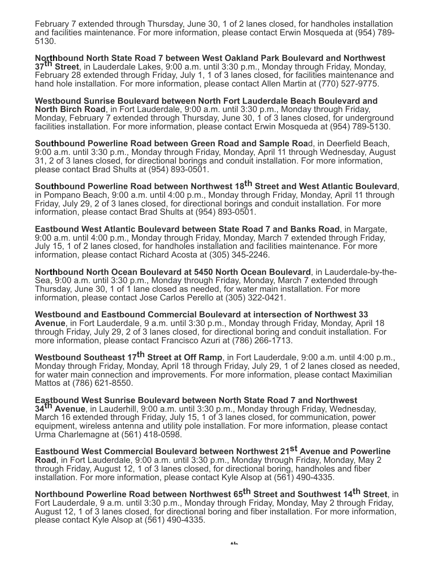February 7 extended through Thursday, June 30, 1 of 2 lanes closed, for handholes installation and facilities maintenance. For more information, please contact Erwin Mosqueda at (954) 789- 5130.

**Northbound North State Road 7 between West Oakland Park Boulevard and Northwest 37th Street**, in Lauderdale Lakes, 9:00 a.m. until 3:30 p.m., Monday through Friday, Monday, February 28 extended through Friday, July 1, 1 of 3 lanes closed, for facilities maintenance and hand hole installation. For more information, please contact Allen Martin at (770) 527-9775.

**Westbound Sunrise Boulevard between North Fort Lauderdale Beach Boulevard and North Birch Road**, in Fort Lauderdale, 9:00 a.m. until 3:30 p.m., Monday through Friday, Monday, February 7 extended through Thursday, June 30, 1 of 3 lanes closed, for underground facilities installation. For more information, please contact Erwin Mosqueda at (954) 789-5130.

**Southbound Powerline Road between Green Road and Sample Roa**d, in Deerfield Beach, 9:00 a.m. until 3:30 p.m., Monday through Friday, Monday, April 11 through Wednesday, August 31, 2 of 3 lanes closed, for directional borings and conduit installation. For more information, please contact Brad Shults at (954) 893-0501.

**Southbound Powerline Road between Northwest 18th Street and West Atlantic Boulevard**, in Pompano Beach, 9:00 a.m. until 4:00 p.m., Monday through Friday, Monday, April 11 through Friday, July 29, 2 of 3 lanes closed, for directional borings and conduit installation. For more information, please contact Brad Shults at (954) 893-0501.

**Eastbound West Atlantic Boulevard between State Road 7 and Banks Road**, in Margate, 9:00 a.m. until 4:00 p.m., Monday through Friday, Monday, March 7 extended through Friday, July 15, 1 of 2 lanes closed, for handholes installation and facilities maintenance. For more information, please contact Richard Acosta at (305) 345-2246.

**Northbound North Ocean Boulevard at 5450 North Ocean Boulevard**, in Lauderdale-by-the-Sea, 9:00 a.m. until 3:30 p.m., Monday through Friday, Monday, March 7 extended through Thursday, June 30, 1 of 1 lane closed as needed, for water main installation. For more information, please contact Jose Carlos Perello at (305) 322-0421.

**Westbound and Eastbound Commercial Boulevard at intersection of Northwest 33 Avenue**, in Fort Lauderdale, 9 a.m. until 3:30 p.m., Monday through Friday, Monday, April 18 through Friday, July 29, 2 of 3 lanes closed, for directional boring and conduit installation. For more information, please contact Francisco Azuri at (786) 266-1713.

**Westbound Southeast 17th Street at Off Ramp**, in Fort Lauderdale, 9:00 a.m. until 4:00 p.m., Monday through Friday, Monday, April 18 through Friday, July 29, 1 of 2 lanes closed as needed, for water main connection and improvements. For more information, please contact Maximilian Mattos at (786) 621-8550.

**Eastbound West Sunrise Boulevard between North State Road 7 and Northwest 34th Avenue**, in Lauderhill, 9:00 a.m. until 3:30 p.m., Monday through Friday, Wednesday, March 16 extended through Friday, July 15, 1 of 3 lanes closed, for communication, power equipment, wireless antenna and utility pole installation. For more information, please contact Urma Charlemagne at (561) 418-0598.

**Eastbound West Commercial Boulevard between Northwest 21st Avenue and Powerline Road**, in Fort Lauderdale, 9:00 a.m. until 3:30 p.m., Monday through Friday, Monday, May 2 through Friday, August 12, 1 of 3 lanes closed, for directional boring, handholes and fiber installation. For more information, please contact Kyle Alsop at (561) 490-4335.

**Northbound Powerline Road between Northwest 65th Street and Southwest 14th Street**, in Fort Lauderdale, 9 a.m. until 3:30 p.m., Monday through Friday, Monday, May 2 through Friday, August 12, 1 of 3 lanes closed, for directional boring and fiber installation. For more information, please contact Kyle Alsop at (561) 490-4335.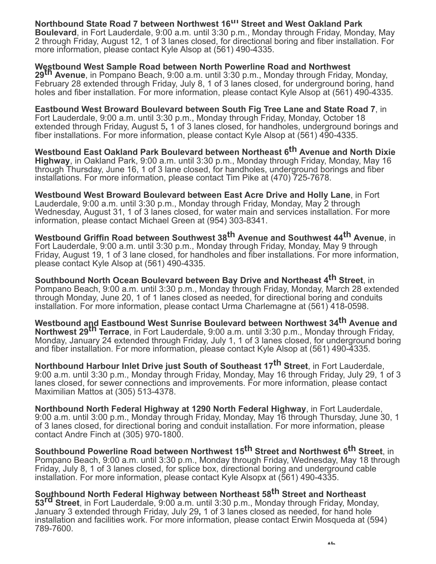### **Northbound State Road 7 between Northwest 16th Street and West Oakland Park**

**Boulevard**, in Fort Lauderdale, 9:00 a.m. until 3:30 p.m., Monday through Friday, Monday, May 2 through Friday, August 12, 1 of 3 lanes closed, for directional boring and fiber installation. For more information, please contact Kyle Alsop at (561) 490-4335.

#### **Westbound West Sample Road between North Powerline Road and Northwest**

**29th Avenue**, in Pompano Beach, 9:00 a.m. until 3:30 p.m., Monday through Friday, Monday, February 28 extended through Friday, July 8, 1 of 3 lanes closed, for underground boring, hand holes and fiber installation. For more information, please contact Kyle Alsop at (561) 490-4335.

**Eastbound West Broward Boulevard between South Fig Tree Lane and State Road 7**, in Fort Lauderdale, 9:00 a.m. until 3:30 p.m., Monday through Friday, Monday, October 18 extended through Friday, August 5**,** 1 of 3 lanes closed, for handholes, underground borings and fiber installations. For more information, please contact Kyle Alsop at (561) 490-4335.

**Westbound East Oakland Park Boulevard between Northeast 6th Avenue and North Dixie Highway**, in Oakland Park, 9:00 a.m. until 3:30 p.m., Monday through Friday, Monday, May 16 through Thursday, June 16, 1 of 3 lane closed, for handholes, underground borings and fiber installations. For more information, please contact Tim Pike at (470) 725-7678.

**Westbound West Broward Boulevard between East Acre Drive and Holly Lane**, in Fort Lauderdale, 9:00 a.m. until 3:30 p.m., Monday through Friday, Monday, May 2 through Wednesday, August 31, 1 of 3 lanes closed, for water main and services installation. For more information, please contact Michael Green at (954) 303-8341.

**Westbound Griffin Road between Southwest 38th Avenue and Southwest 44th Avenue**, in Fort Lauderdale, 9:00 a.m. until 3:30 p.m., Monday through Friday, Monday, May 9 through Friday, August 19, 1 of 3 lane closed, for handholes and fiber installations. For more information, please contact Kyle Alsop at (561) 490-4335.

**Southbound North Ocean Boulevard between Bay Drive and Northeast 4th Street**, in Pompano Beach, 9:00 a.m. until 3:30 p.m., Monday through Friday, Monday, March 28 extended through Monday, June 20, 1 of 1 lanes closed as needed, for directional boring and conduits installation. For more information, please contact Urma Charlemagne at (561) 418-0598.

**Westbound and Eastbound West Sunrise Boulevard between Northwest 34th Avenue and Northwest 29th Terrace**, in Fort Lauderdale, 9:00 a.m. until 3:30 p.m., Monday through Friday, Monday, January 24 extended through Friday, July 1, 1 of 3 lanes closed, for underground boring and fiber installation. For more information, please contact Kyle Alsop at (561) 490-4335.

**Northbound Harbour Inlet Drive just South of Southeast 17th Street**, in Fort Lauderdale, 9:00 a.m. until 3:30 p.m., Monday through Friday, Monday, May 16 through Friday, July 29, 1 of 3 lanes closed, for sewer connections and improvements. For more information, please contact Maximilian Mattos at (305) 513-4378.

**Northbound North Federal Highway at 1290 North Federal Highway**, in Fort Lauderdale, 9:00 a.m. until 3:00 p.m., Monday through Friday, Monday, May 16 through Thursday, June 30, 1 of 3 lanes closed, for directional boring and conduit installation. For more information, please contact Andre Finch at (305) 970-1800.

**Southbound Powerline Road between Northwest 15th Street and Northwest 6th Street**, in Pompano Beach, 9:00 a.m. until 3:30 p.m., Monday through Friday, Wednesday, May 18 through Friday, July 8, 1 of 3 lanes closed, for splice box, directional boring and underground cable installation. For more information, please contact Kyle Alsopx at (561) 490-4335.

**Southbound North Federal Highway between Northeast 58th Street and Northeast 53rd Street**, in Fort Lauderdale, 9:00 a.m. until 3:30 p.m., Monday through Friday, Monday, January 3 extended through Friday, July 29**,** 1 of 3 lanes closed as needed, for hand hole installation and facilities work. For more information, please contact Erwin Mosqueda at (594) 789-7600.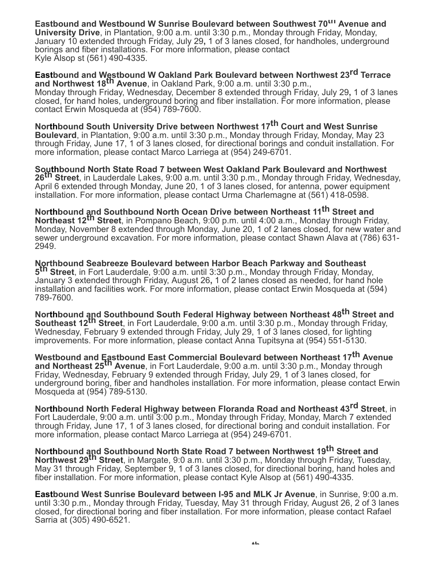**Eastbound and Westbound W Sunrise Boulevard between Southwest 70th Avenue and University Drive**, in Plantation, 9:00 a.m. until 3:30 p.m., Monday through Friday, Monday, January 10 extended through Friday, July 29**,** 1 of 3 lanes closed, for handholes, underground borings and fiber installations. For more information, please contact Kyle Alsop st (561) 490-4335.

**Eastbound and Westbound W Oakland Park Boulevard between Northwest 23rd Terrace and Northwest 18th Avenue**, in Oakland Park, 9:00 a.m. until 3:30 p.m., Monday through Friday, Wednesday, December 8 extended through Friday, July 29**,** 1 of 3 lanes closed, for hand holes, underground boring and fiber installation. For more information, please contact Erwin Mosqueda at (954) 789-7600.

**Northbound South University Drive between Northwest 17th Court and West Sunrise Boulevard**, in Plantation, 9:00 a.m. until 3:30 p.m., Monday through Friday, Monday, May 23 through Friday, June 17, 1 of 3 lanes closed, for directional borings and conduit installation. For more information, please contact Marco Larriega at (954) 249-6701.

**Southbound North State Road 7 between West Oakland Park Boulevard and Northwest 26th Street**, in Lauderdale Lakes, 9:00 a.m. until 3:30 p.m., Monday through Friday, Wednesday, April 6 extended through Monday, June 20, 1 of 3 lanes closed, for antenna, power equipment installation. For more information, please contact Urma Charlemagne at (561) 418-0598.

**Northbound and Southbound North Ocean Drive between Northeast 11 th Street and Northeast 12th Street**, in Pompano Beach, 9:00 p.m. until 4:00 a.m., Monday through Friday, Monday, November 8 extended through Monday, June 20, 1 of 2 lanes closed, for new water and sewer underground excavation. For more information, please contact Shawn Alava at (786) 631- 2949.

**Northbound Seabreeze Boulevard between Harbor Beach Parkway and Southeast 5 th Street**, in Fort Lauderdale, 9:00 a.m. until 3:30 p.m., Monday through Friday, Monday, January 3 extended through Friday, August 26**,** 1 of 2 lanes closed as needed, for hand hole installation and facilities work. For more information, please contact Erwin Mosqueda at (594) 789-7600.

**Northbound and Southbound South Federal Highway between Northeast 48<sup>th</sup> Street and Southeast 12th Street**, in Fort Lauderdale, 9:00 a.m. until 3:30 p.m., Monday through Friday, Wednesday, February 9 extended through Friday, July 29, 1 of 3 lanes closed, for lighting improvements. For more information, please contact Anna Tupitsyna at (954) 551-5130.

**Westbound and Eastbound East Commercial Boulevard between Northeast 17th Avenue and Northeast 25th Avenue**, in Fort Lauderdale, 9:00 a.m. until 3:30 p.m., Monday through Friday, Wednesday, February 9 extended through Friday, July 29, 1 of 3 lanes closed, for underground boring, fiber and handholes installation. For more information, please contact Erwin Mosqueda at (954) 789-5130.

**Northbound North Federal Highway between Floranda Road and Northeast 43rd Street**, in Fort Lauderdale, 9:00 a.m. until 3:00 p.m., Monday through Friday, Monday, March 7 extended through Friday, June 17, 1 of 3 lanes closed, for directional boring and conduit installation. For more information, please contact Marco Larriega at (954) 249-6701.

**Northbound and Southbound North State Road 7 between Northwest 19th Street and Northwest 29th Street**, in Margate, 9:0 a.m. until 3:30 p.m., Monday through Friday, Tuesday, May 31 through Friday, September 9, 1 of 3 lanes closed, for directional boring, hand holes and fiber installation. For more information, please contact Kyle Alsop at (561) 490-4335.

**Eastbound West Sunrise Boulevard between I-95 and MLK Jr Avenue**, in Sunrise, 9:00 a.m. until 3:30 p.m., Monday through Friday, Tuesday, May 31 through Friday, August 26, 2 of 3 lanes closed, for directional boring and fiber installation. For more information, please contact Rafael Sarria at (305) 490-6521.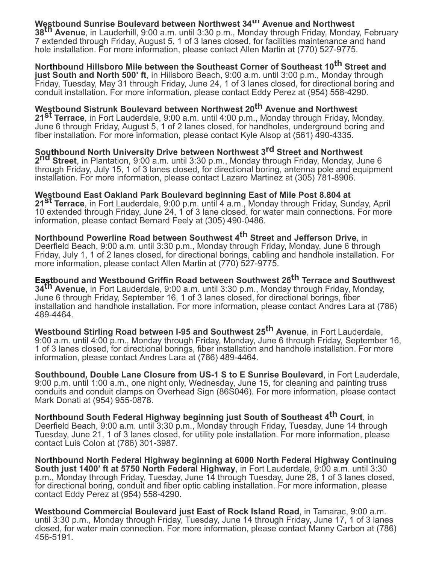**Westbound Sunrise Boulevard between Northwest 34th Avenue and Northwest 38th Avenue**, in Lauderhill, 9:00 a.m. until 3:30 p.m., Monday through Friday, Monday, February 7 extended through Friday, August 5, 1 of 3 lanes closed, for facilities maintenance and hand hole installation. For more information, please contact Allen Martin at (770) 527-9775.

**Northbound Hillsboro Mile between the Southeast Corner of Southeast 10th Street and just South and North 500' ft**, in Hillsboro Beach, 9:00 a.m. until 3:00 p.m., Monday through Friday, Tuesday, May 31 through Friday, June 24, 1 of 3 lanes closed, for directional boring and conduit installation. For more information, please contact Eddy Perez at (954) 558-4290.

**Westbound Sistrunk Boulevard between Northwest 20th Avenue and Northwest 21st Terrace**, in Fort Lauderdale, 9:00 a.m. until 4:00 p.m., Monday through Friday, Monday, June 6 through Friday, August 5, 1 of 2 lanes closed, for handholes, underground boring and fiber installation. For more information, please contact Kyle Alsop at (561) 490-4335.

**Southbound North University Drive between Northwest 3rd Street and Northwest 2nd Street**, in Plantation, 9:00 a.m. until 3:30 p.m., Monday through Friday, Monday, June 6 through Friday, July 15, 1 of 3 lanes closed, for directional boring, antenna pole and equipment installation. For more information, please contact Lazaro Martinez at (305) 781-8906.

**Westbound East Oakland Park Boulevard beginning East of Mile Post 8.804 at 21st Terrace**, in Fort Lauderdale, 9:00 p.m. until 4 a.m., Monday through Friday, Sunday, April 10 extended through Friday, June 24, 1 of 3 lane closed, for water main connections. For more information, please contact Bernard Feely at (305) 490-0486.

**Northbound Powerline Road between Southwest 4th Street and Jefferson Drive**, in Deerfield Beach, 9:00 a.m. until 3:30 p.m., Monday through Friday, Monday, June 6 through Friday, July 1, 1 of 2 lanes closed, for directional borings, cabling and handhole installation. For more information, please contact Allen Martin at (770) 527-9775.

**Eastbound and Westbound Griffin Road between Southwest 26th Terrace and Southwest 34th Avenue**, in Fort Lauderdale, 9:00 a.m. until 3:30 p.m., Monday through Friday, Monday, June 6 through Friday, September 16, 1 of 3 lanes closed, for directional borings, fiber installation and handhole installation. For more information, please contact Andres Lara at (786) 489-4464.

**Westbound Stirling Road between I-95 and Southwest 25th Avenue**, in Fort Lauderdale, 9:00 a.m. until 4:00 p.m., Monday through Friday, Monday, June 6 through Friday, September 16, 1 of 3 lanes closed, for directional borings, fiber installation and handhole installation. For more information, please contact Andres Lara at (786) 489-4464.

**Southbound, Double Lane Closure from US-1 S to E Sunrise Boulevard**, in Fort Lauderdale, 9:00 p.m. until 1:00 a.m., one night only, Wednesday, June 15, for cleaning and painting truss conduits and conduit clamps on Overhead Sign (86S046). For more information, please contact Mark Donati at (954) 955-0878.

**Northbound South Federal Highway beginning just South of Southeast 4th Court**, in Deerfield Beach, 9:00 a.m. until 3:30 p.m., Monday through Friday, Tuesday, June 14 through Tuesday, June 21, 1 of 3 lanes closed, for utility pole installation. For more information, please contact Luis Colon at (786) 301-3987.

**Northbound North Federal Highway beginning at 6000 North Federal Highway Continuing South just 1400' ft at 5750 North Federal Highway**, in Fort Lauderdale, 9:00 a.m. until 3:30 p.m., Monday through Friday, Tuesday, June 14 through Tuesday, June 28, 1 of 3 lanes closed, for directional boring, conduit and fiber optic cabling installation. For more information, please contact Eddy Perez at (954) 558-4290.

**Westbound Commercial Boulevard just East of Rock Island Road**, in Tamarac, 9:00 a.m. until 3:30 p.m., Monday through Friday, Tuesday, June 14 through Friday, June 17, 1 of 3 lanes closed, for water main connection. For more information, please contact Manny Carbon at (786) 456-5191.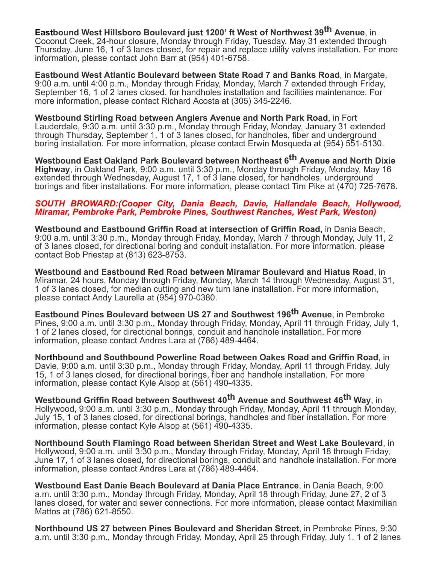**Eastbound West Hillsboro Boulevard just 1200' ft West of Northwest 39th Avenue**, in Coconut Creek, 24-hour closure, Monday through Friday, Tuesday, May 31 extended through Thursday, June 16, 1 of 3 lanes closed, for repair and replace utility valves installation. For more information, please contact John Barr at (954) 401-6758.

**Eastbound West Atlantic Boulevard between State Road 7 and Banks Road**, in Margate, 9:00 a.m. until 4:00 p.m., Monday through Friday, Monday, March 7 extended through Friday, September 16, 1 of 2 lanes closed, for handholes installation and facilities maintenance. For more information, please contact Richard Acosta at (305) 345-2246.

**Westbound Stirling Road between Anglers Avenue and North Park Road**, in Fort Lauderdale, 9:30 a.m. until 3:30 p.m., Monday through Friday, Monday, January 31 extended through Thursday, September 1, 1 of 3 lanes closed, for handholes, fiber and underground boring installation. For more information, please contact Erwin Mosqueda at (954) 551-5130.

**Westbound East Oakland Park Boulevard between Northeast 6th Avenue and North Dixie Highway**, in Oakland Park, 9:00 a.m. until 3:30 p.m., Monday through Friday, Monday, May 16 extended through Wednesday, August 17, 1 of 3 lane closed, for handholes, underground borings and fiber installations. For more information, please contact Tim Pike at (470) 725-7678.

#### *SOUTH BROWARD:(Cooper City, Dania Beach, Davie, Hallandale Beach, Hollywood, Miramar, Pembroke Park, Pembroke Pines, Southwest Ranches, West Park, Weston)*

**Westbound and Eastbound Griffin Road at intersection of Griffin Road,** in Dania Beach, 9:00 a.m. until 3:30 p.m., Monday through Friday, Monday, March 7 through Monday, July 11, 2 of 3 lanes closed, for directional boring and conduit installation. For more information, please contact Bob Priestap at (813) 623-8753.

**Westbound and Eastbound Red Road between Miramar Boulevard and Hiatus Road**, in Miramar, 24 hours, Monday through Friday, Monday, March 14 through Wednesday, August 31, 1 of 3 lanes closed, for median cutting and new turn lane installation. For more information, please contact Andy Laurella at (954) 970-0380.

**Eastbound Pines Boulevard between US 27 and Southwest 196th Avenue**, in Pembroke Pines, 9:00 a.m. until 3:30 p.m., Monday through Friday, Monday, April 11 through Friday, July 1, 1 of 2 lanes closed, for directional borings, conduit and handhole installation. For more information, please contact Andres Lara at (786) 489-4464.

**Northbound and Southbound Powerline Road between Oakes Road and Griffin Road**, in Davie, 9:00 a.m. until 3:30 p.m., Monday through Friday, Monday, April 11 through Friday, July 15, 1 of 3 lanes closed, for directional borings, fiber and handhole installation. For more information, please contact Kyle Alsop at (561) 490-4335.

**Westbound Griffin Road between Southwest 40th Avenue and Southwest 46th Way**, in Hollywood, 9:00 a.m. until 3:30 p.m., Monday through Friday, Monday, April 11 through Monday, July 15, 1 of 3 lanes closed, for directional borings, handholes and fiber installation. For more information, please contact Kyle Alsop at (561) 490-4335.

**Northbound South Flamingo Road between Sheridan Street and West Lake Boulevard**, in Hollywood, 9:00 a.m. until 3:30 p.m., Monday through Friday, Monday, April 18 through Friday, June 17, 1 of 3 lanes closed, for directional borings, conduit and handhole installation. For more information, please contact Andres Lara at (786) 489-4464.

**Westbound East Danie Beach Boulevard at Dania Place Entrance**, in Dania Beach, 9:00 a.m. until 3:30 p.m., Monday through Friday, Monday, April 18 through Friday, June 27, 2 of 3 lanes closed, for water and sewer connections. For more information, please contact Maximilian Mattos at (786) 621-8550.

**Northbound US 27 between Pines Boulevard and Sheridan Street**, in Pembroke Pines, 9:30 a.m. until 3:30 p.m., Monday through Friday, Monday, April 25 through Friday, July 1, 1 of 2 lanes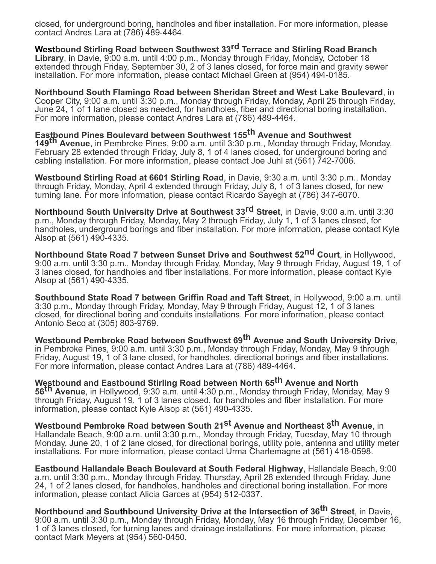closed, for underground boring, handholes and fiber installation. For more information, please contact Andres Lara at (786) 489-4464.

**Westbound Stirling Road between Southwest 33rd Terrace and Stirling Road Branch Library**, in Davie, 9:00 a.m. until 4:00 p.m., Monday through Friday, Monday, October 18 extended through Friday, September 30, 2 of 3 lanes closed, for force main and gravity sewer installation. For more information, please contact Michael Green at (954) 494-0185.

**Northbound South Flamingo Road between Sheridan Street and West Lake Boulevard**, in Cooper City, 9:00 a.m. until 3:30 p.m., Monday through Friday, Monday, April 25 through Friday, June 24, 1 of 1 lane closed as needed, for handholes, fiber and directional boring installation. For more information, please contact Andres Lara at (786) 489-4464.

**Eastbound Pines Boulevard between Southwest 155th Avenue and Southwest 149th Avenue**, in Pembroke Pines, 9:00 a.m. until 3:30 p.m., Monday through Friday, Monday, February 28 extended through Friday, July 8, 1 of 4 lanes closed, for underground boring and cabling installation. For more information, please contact Joe Juhl at (561) 742-7006.

**Westbound Stirling Road at 6601 Stirling Road**, in Davie, 9:30 a.m. until 3:30 p.m., Monday through Friday, Monday, April 4 extended through Friday, July 8, 1 of 3 lanes closed, for new turning lane. For more information, please contact Ricardo Sayegh at (786) 347-6070.

**Northbound South University Drive at Southwest 33rd Street**, in Davie, 9:00 a.m. until 3:30 p.m., Monday through Friday, Monday, May 2 through Friday, July 1, 1 of 3 lanes closed, for handholes, underground borings and fiber installation. For more information, please contact Kyle Alsop at (561) 490-4335.

**Northbound State Road 7 between Sunset Drive and Southwest 52nd Court**, in Hollywood, 9:00 a.m. until 3:30 p.m., Monday through Friday, Monday, May 9 through Friday, August 19, 1 of 3 lanes closed, for handholes and fiber installations. For more information, please contact Kyle Alsop at (561) 490-4335.

**Southbound State Road 7 between Griffin Road and Taft Street**, in Hollywood, 9:00 a.m. until 3:30 p.m., Monday through Friday, Monday, May 9 through Friday, August 12, 1 of 3 lanes closed, for directional boring and conduits installations. For more information, please contact Antonio Seco at (305) 803-9769.

**Westbound Pembroke Road between Southwest 69th Avenue and South University Drive**, in Pembroke Pines, 9:00 a.m. until 3:30 p.m., Monday through Friday, Monday, May 9 through Friday, August 19, 1 of 3 lane closed, for handholes, directional borings and fiber installations. For more information, please contact Andres Lara at (786) 489-4464.

**Westbound and Eastbound Stirling Road between North 65th Avenue and North 56th Avenue**, in Hollywood, 9:30 a.m. until 4:30 p.m., Monday through Friday, Monday, May 9 through Friday, August 19, 1 of 3 lanes closed, for handholes and fiber installation. For more information, please contact Kyle Alsop at (561) 490-4335.

**Westbound Pembroke Road between South 21st Avenue and Northeast 8th Avenue**, in Hallandale Beach, 9:00 a.m. until 3:30 p.m., Monday through Friday, Tuesday, May 10 through Monday, June 20, 1 of 2 lane closed, for directional borings, utility pole, antenna and utility meter installations. For more information, please contact Urma Charlemagne at (561) 418-0598.

**Eastbound Hallandale Beach Boulevard at South Federal Highway**, Hallandale Beach, 9:00 a.m. until 3:30 p.m., Monday through Friday, Thursday, April 28 extended through Friday, June 24, 1 of 2 lanes closed, for handholes, handholes and directional boring installation. For more information, please contact Alicia Garces at (954) 512-0337.

**Northbound and Southbound University Drive at the Intersection of 36th Street**, in Davie, 9:00 a.m. until 3:30 p.m., Monday through Friday, Monday, May 16 through Friday, December 16, 1 of 3 lanes closed, for turning lanes and drainage installations. For more information, please contact Mark Meyers at (954) 560-0450.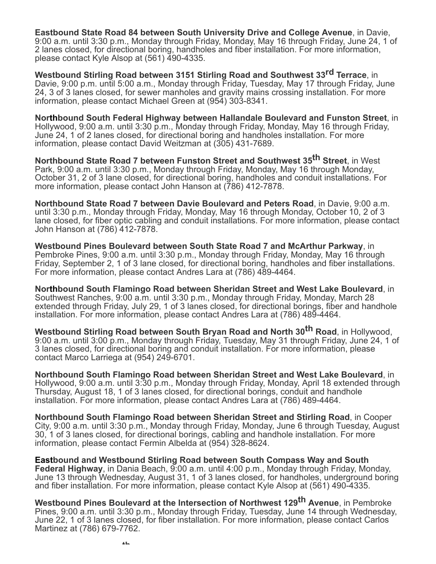**Eastbound State Road 84 between South University Drive and College Avenue**, in Davie, 9:00 a.m. until 3:30 p.m., Monday through Friday, Monday, May 16 through Friday, June 24, 1 of 2 lanes closed, for directional boring, handholes and fiber installation. For more information, please contact Kyle Alsop at (561) 490-4335.

**Westbound Stirling Road between 3151 Stirling Road and Southwest 33rd Terrace**, in Davie, 9:00 p.m. until 5:00 a.m., Monday through Friday, Tuesday, May 17 through Friday, June 24, 3 of 3 lanes closed, for sewer manholes and gravity mains crossing installation. For more information, please contact Michael Green at (954) 303-8341.

**Northbound South Federal Highway between Hallandale Boulevard and Funston Street**, in Hollywood, 9:00 a.m. until 3:30 p.m., Monday through Friday, Monday, May 16 through Friday, June 24, 1 of 2 lanes closed, for directional boring and handholes installation. For more information, please contact David Weitzman at (305) 431-7689.

**Northbound State Road 7 between Funston Street and Southwest 35th Street**, in West Park, 9:00 a.m. until 3:30 p.m., Monday through Friday, Monday, May 16 through Monday, October 31, 2 of 3 lane closed, for directional boring, handholes and conduit installations. For more information, please contact John Hanson at (786) 412-7878.

**Northbound State Road 7 between Davie Boulevard and Peters Road**, in Davie, 9:00 a.m. until 3:30 p.m., Monday through Friday, Monday, May 16 through Monday, October 10, 2 of 3 lane closed, for fiber optic cabling and conduit installations. For more information, please contact John Hanson at (786) 412-7878.

**Westbound Pines Boulevard between South State Road 7 and McArthur Parkway**, in Pembroke Pines, 9:00 a.m. until 3:30 p.m., Monday through Friday, Monday, May 16 through Friday, September 2, 1 of 3 lane closed, for directional boring, handholes and fiber installations. For more information, please contact Andres Lara at (786) 489-4464.

**Northbound South Flamingo Road between Sheridan Street and West Lake Boulevard**, in Southwest Ranches, 9:00 a.m. until 3:30 p.m., Monday through Friday, Monday, March 28 extended through Friday, July 29, 1 of 3 lanes closed, for directional borings, fiber and handhole installation. For more information, please contact Andres Lara at (786) 489-4464.

**Westbound Stirling Road between South Bryan Road and North 30th Road**, in Hollywood, 9:00 a.m. until 3:00 p.m., Monday through Friday, Tuesday, May 31 through Friday, June 24, 1 of 3 lanes closed, for directional boring and conduit installation. For more information, please contact Marco Larriega at (954) 249-6701.

**Northbound South Flamingo Road between Sheridan Street and West Lake Boulevard**, in Hollywood, 9:00 a.m. until 3:30 p.m., Monday through Friday, Monday, April 18 extended through Thursday, August 18, 1 of 3 lanes closed, for directional borings, conduit and handhole installation. For more information, please contact Andres Lara at (786) 489-4464.

**Northbound South Flamingo Road between Sheridan Street and Stirling Road**, in Cooper City, 9:00 a.m. until 3:30 p.m., Monday through Friday, Monday, June 6 through Tuesday, August 30, 1 of 3 lanes closed, for directional borings, cabling and handhole installation. For more information, please contact Fermin Albelda at (954) 328-8624.

**Eastbound and Westbound Stirling Road between South Compass Way and South Federal Highway**, in Dania Beach, 9:00 a.m. until 4:00 p.m., Monday through Friday, Monday, June 13 through Wednesday, August 31, 1 of 3 lanes closed, for handholes, underground boring and fiber installation. For more information, please contact Kyle Alsop at (561) 490-4335.

**Westbound Pines Boulevard at the Intersection of Northwest 129th Avenue**, in Pembroke Pines, 9:00 a.m. until 3:30 p.m., Monday through Friday, Tuesday, June 14 through Wednesday, June 22, 1 of 3 lanes closed, for fiber installation. For more information, please contact Carlos Martinez at (786) 679-7762.